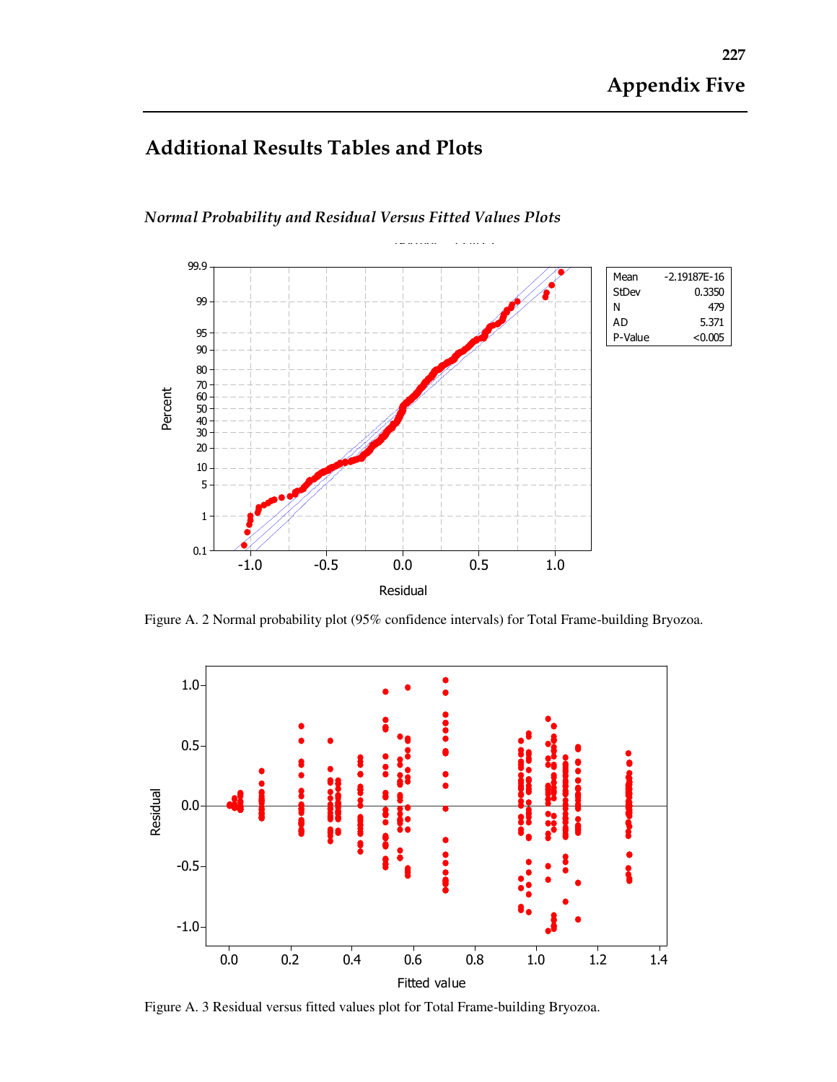## Additional Results Tables and Plots



Normal Probability and Residual Versus Fitted Values Plots

Figure A. 2 Normal probability plot (95% confidence intervals) for Total Frame-building Bryozoa.



Figure A. 3 Residual versus fitted values plot for Total Frame-building Bryozoa.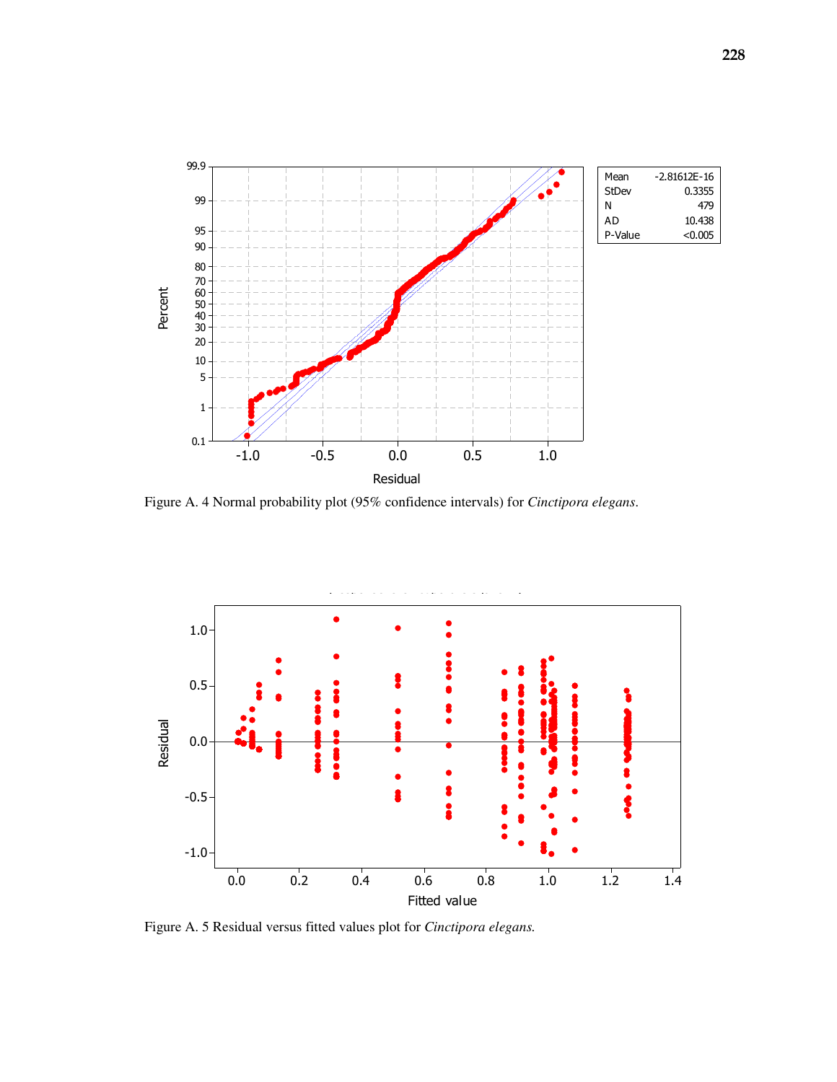

Figure A. 4 Normal probability plot (95% confidence intervals) for *Cinctipora elegans*.



Figure A. 5 Residual versus fitted values plot for *Cinctipora elegans.*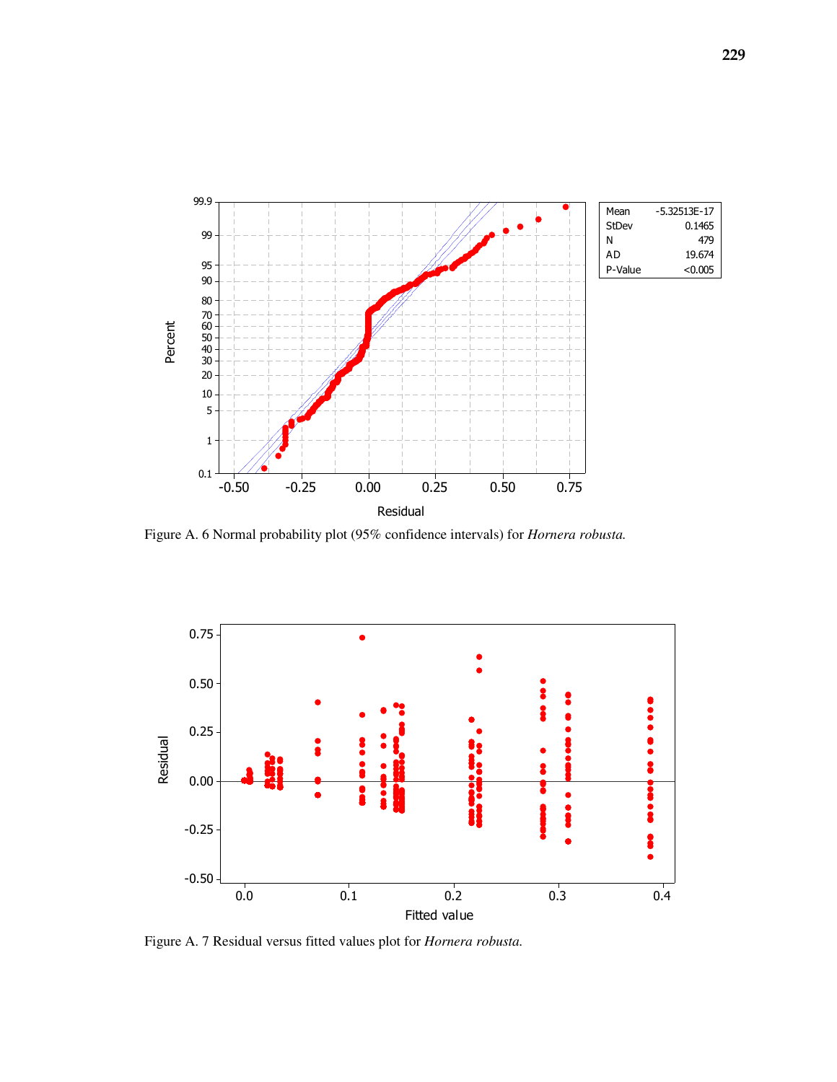

Figure A. 6 Normal probability plot (95% confidence intervals) for *Hornera robusta.*



Figure A. 7 Residual versus fitted values plot for *Hornera robusta.*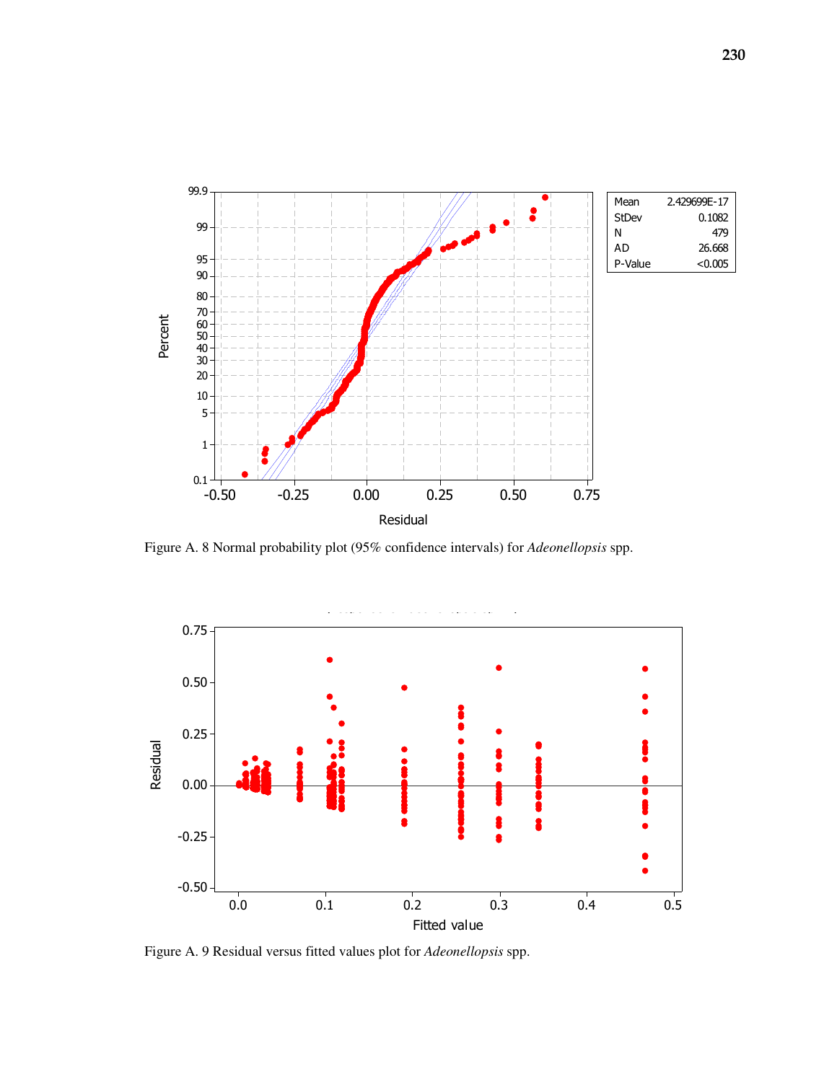

Figure A. 8 Normal probability plot (95% confidence intervals) for *Adeonellopsis* spp.



Figure A. 9 Residual versus fitted values plot for *Adeonellopsis* spp.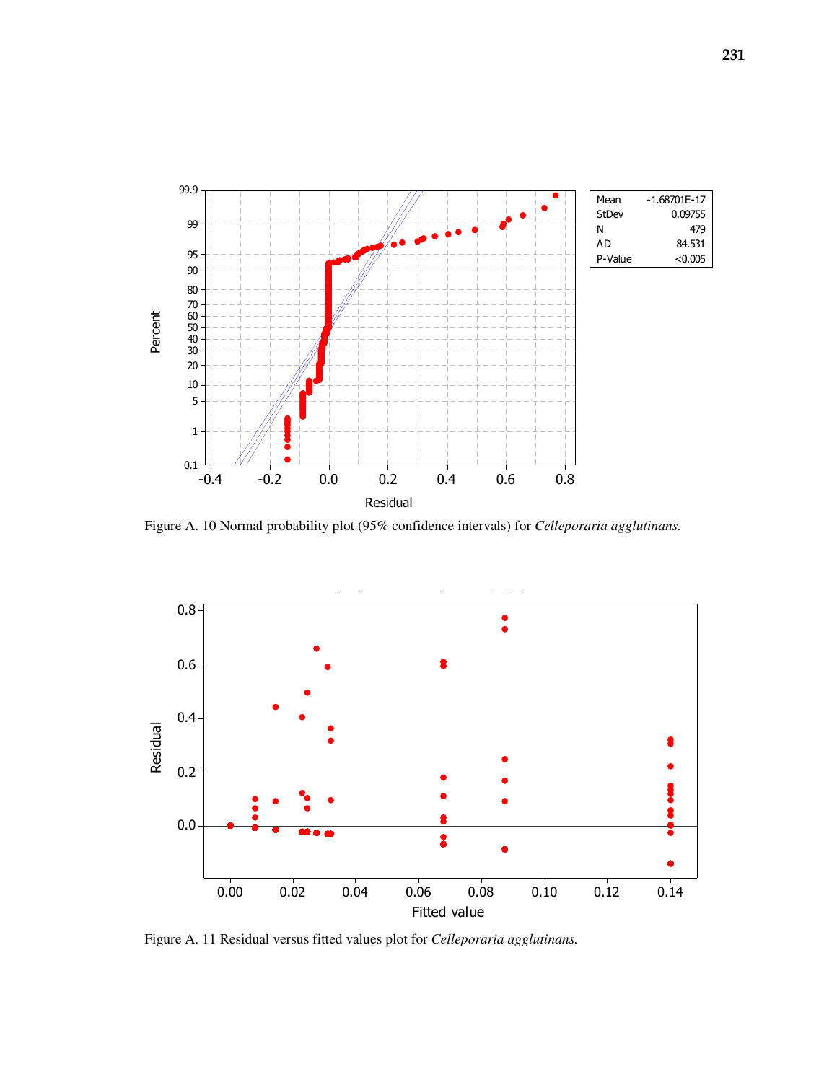

Figure A. 10 Normal probability plot (95% confidence intervals) for *Celleporaria agglutinans.* 



Figure A. 11 Residual versus fitted values plot for *Celleporaria agglutinans.*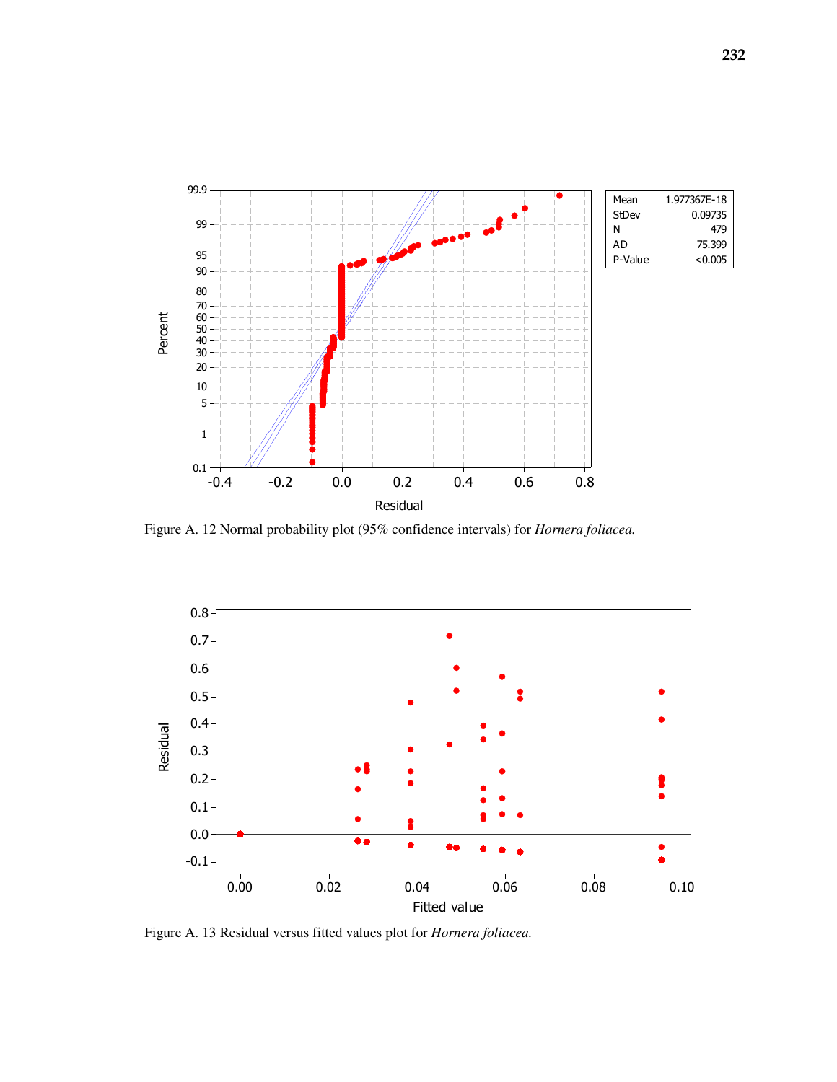

Figure A. 12 Normal probability plot (95% confidence intervals) for *Hornera foliacea.*



Figure A. 13 Residual versus fitted values plot for *Hornera foliacea.*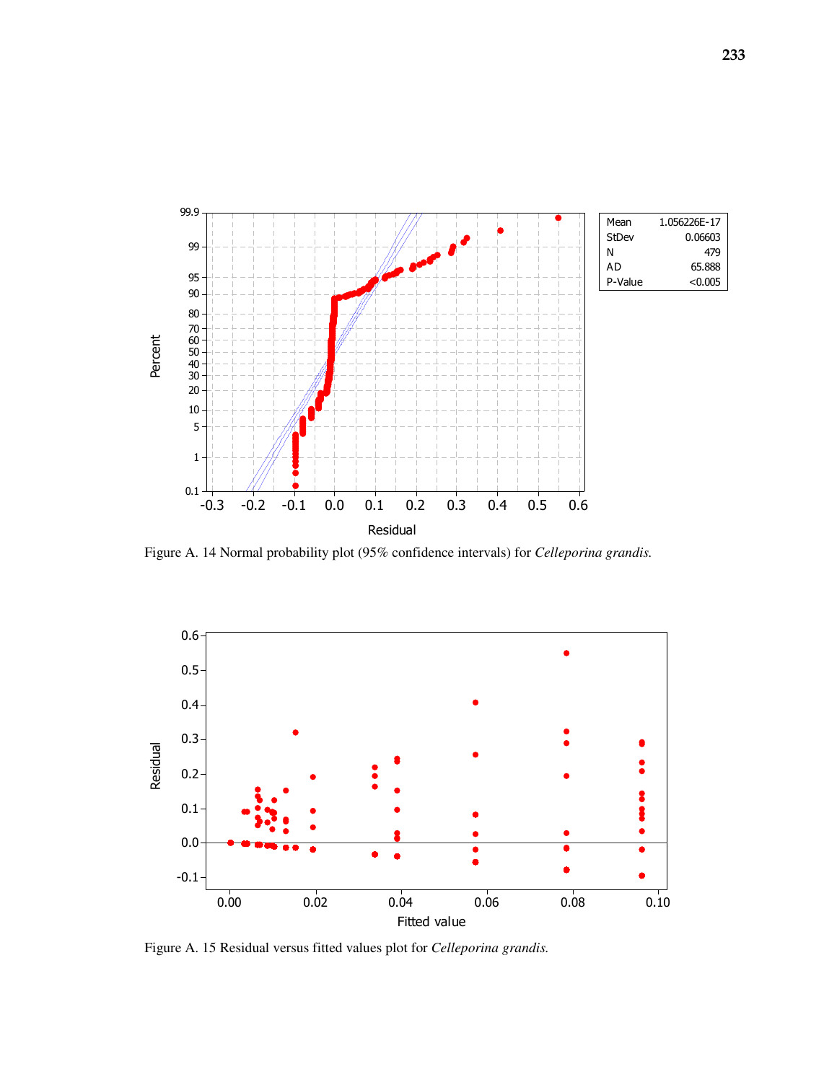

Figure A. 14 Normal probability plot (95% confidence intervals) for *Celleporina grandis.*



Figure A. 15 Residual versus fitted values plot for *Celleporina grandis.*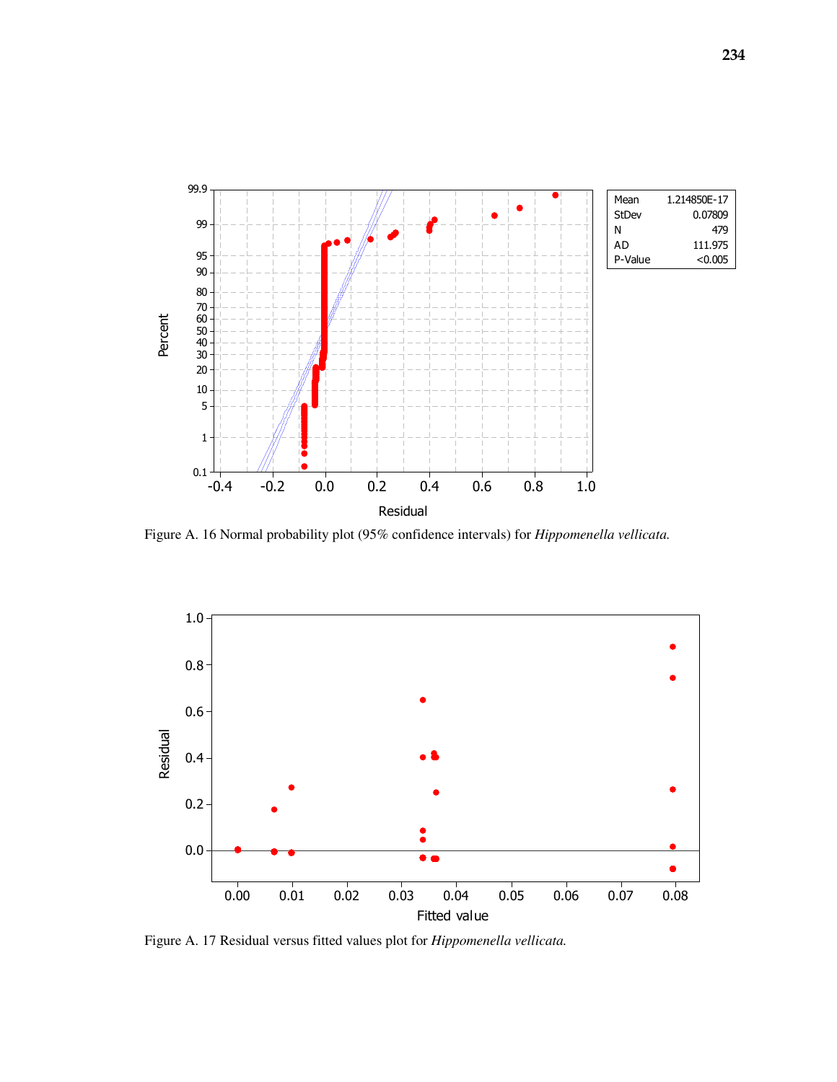

Figure A. 16 Normal probability plot (95% confidence intervals) for *Hippomenella vellicata.*



Figure A. 17 Residual versus fitted values plot for *Hippomenella vellicata.*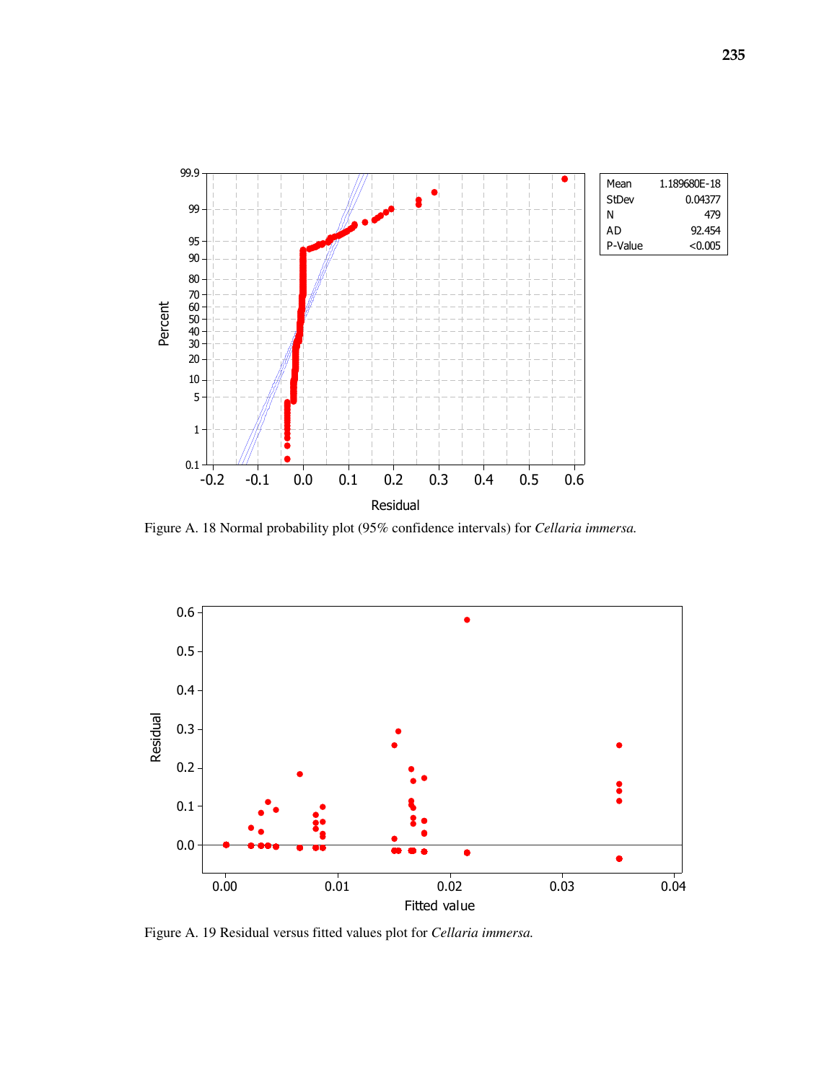

Figure A. 18 Normal probability plot (95% confidence intervals) for *Cellaria immersa.*



Figure A. 19 Residual versus fitted values plot for *Cellaria immersa.*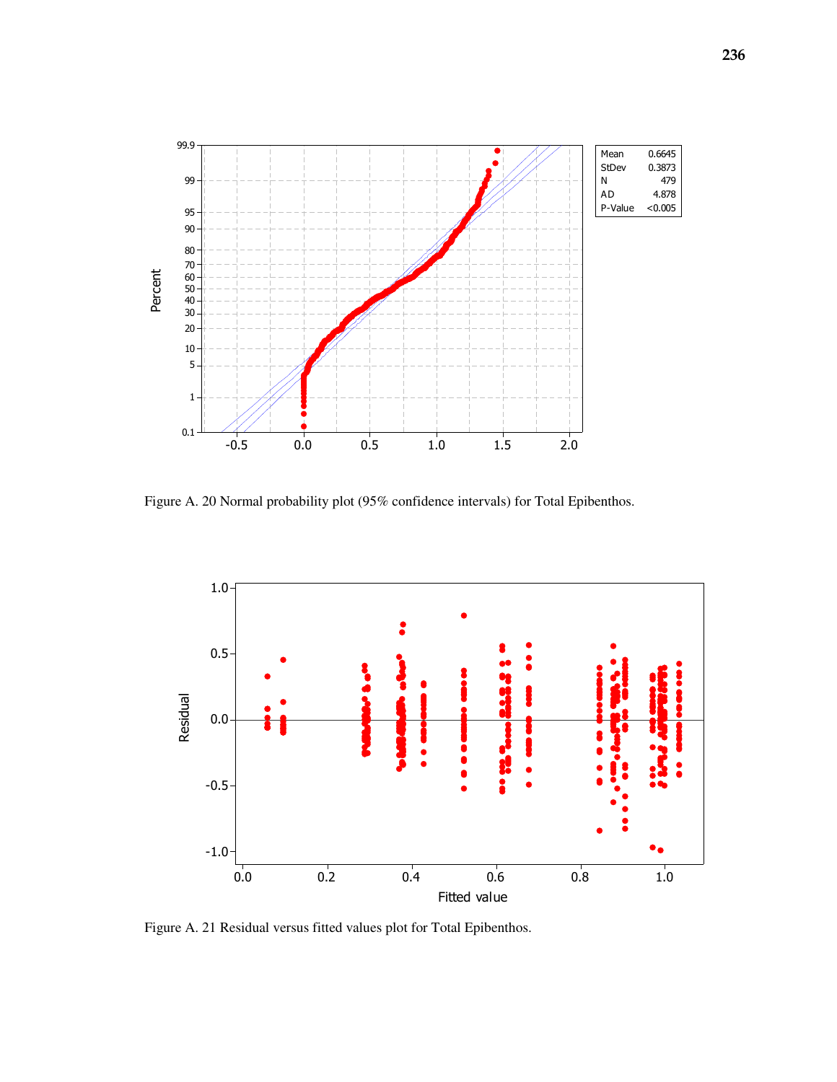

Figure A. 20 Normal probability plot (95% confidence intervals) for Total Epibenthos.



Figure A. 21 Residual versus fitted values plot for Total Epibenthos.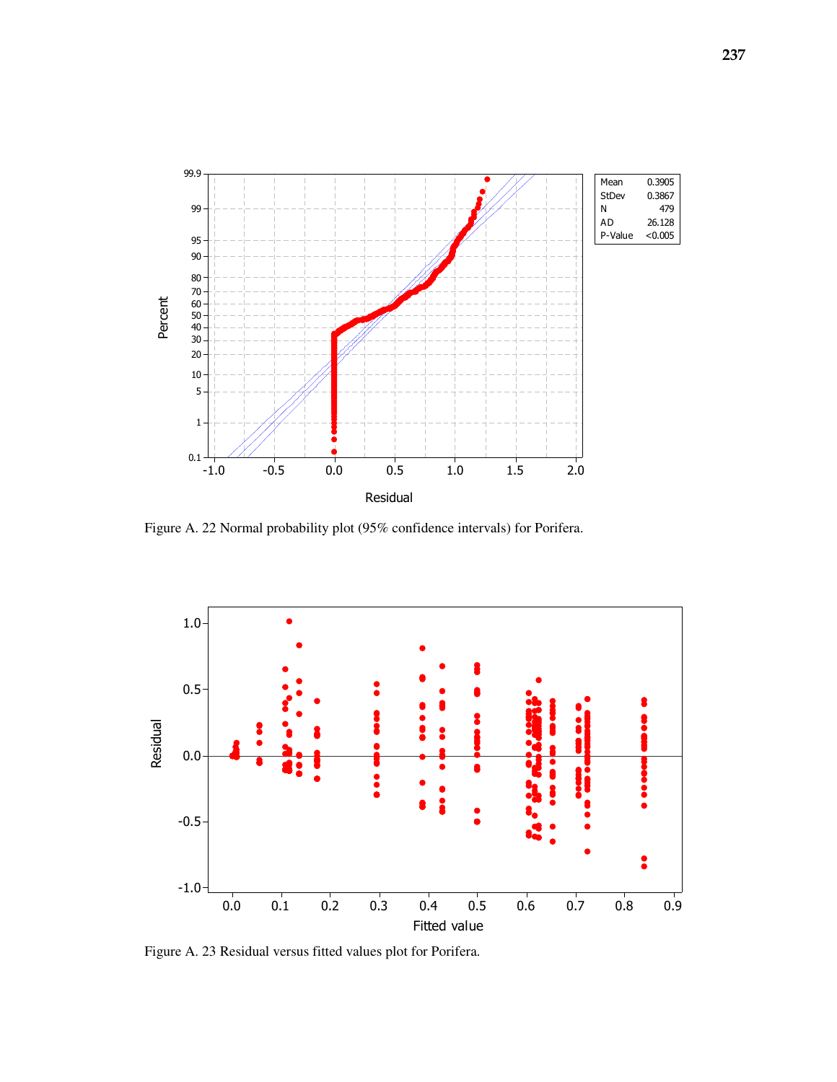

Figure A. 22 Normal probability plot (95% confidence intervals) for Porifera.



Figure A. 23 Residual versus fitted values plot for Porifera.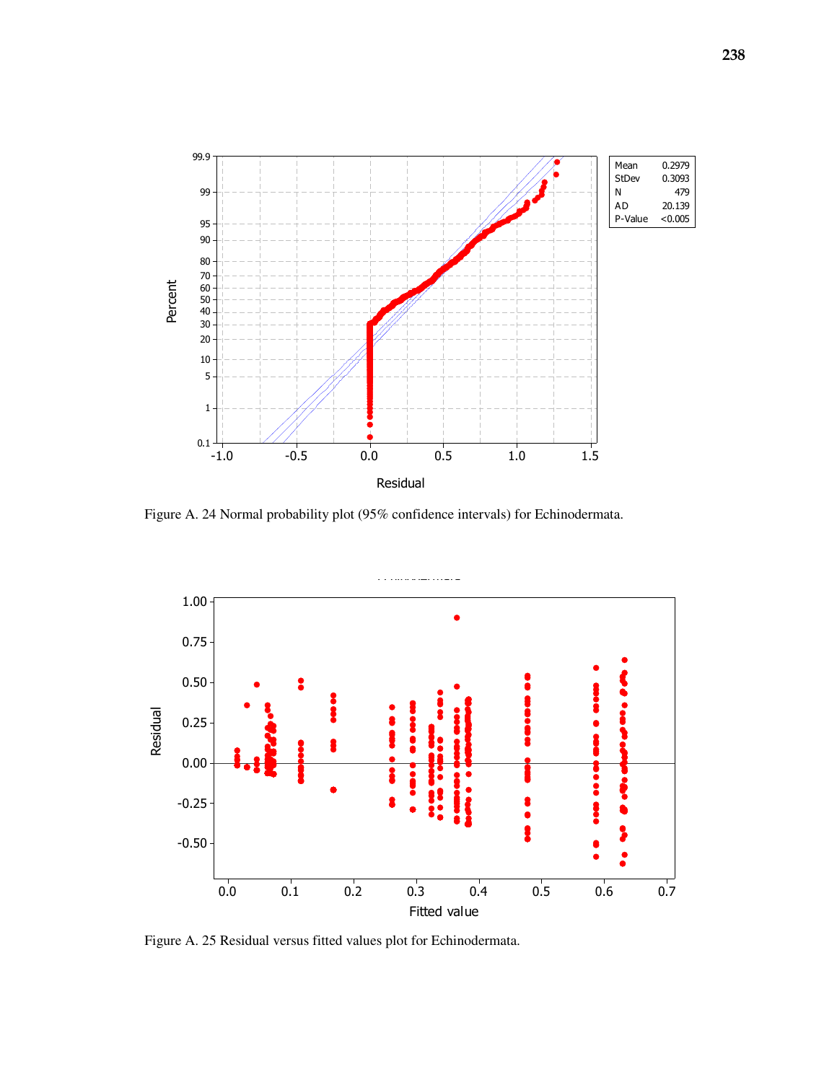

Figure A. 24 Normal probability plot (95% confidence intervals) for Echinodermata.



Figure A. 25 Residual versus fitted values plot for Echinodermata.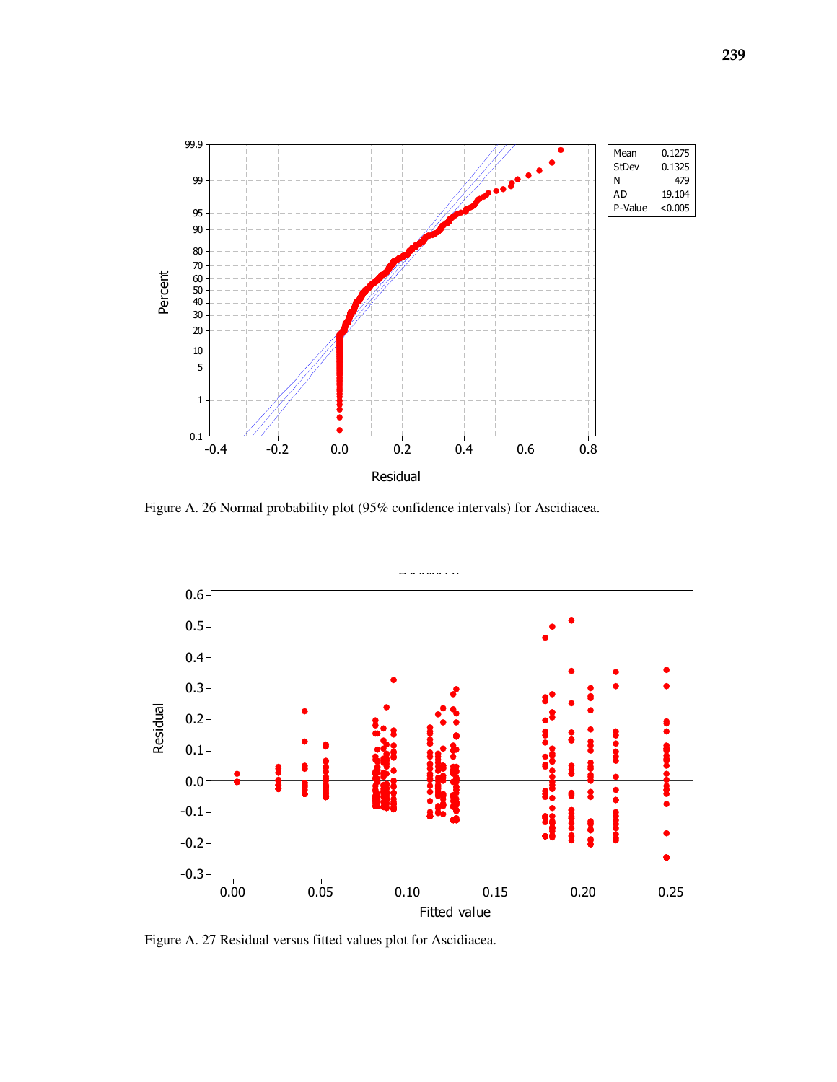

Figure A. 26 Normal probability plot (95% confidence intervals) for Ascidiacea.



Figure A. 27 Residual versus fitted values plot for Ascidiacea.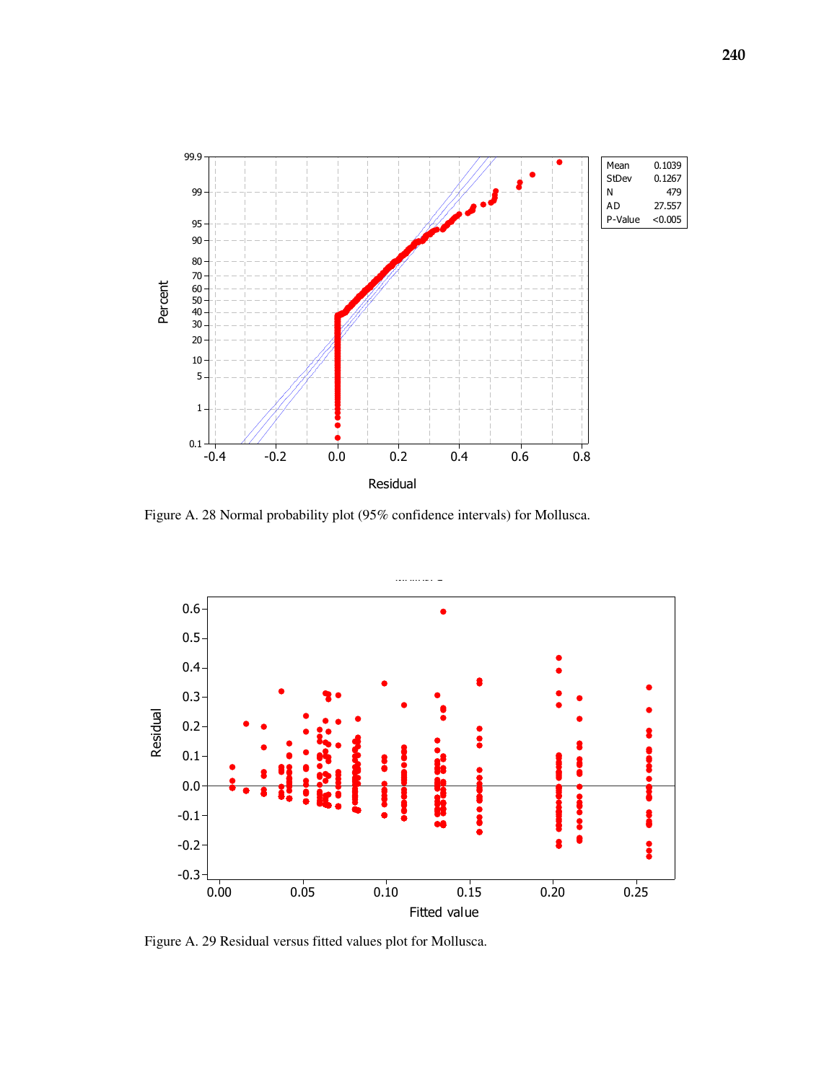

Figure A. 28 Normal probability plot (95% confidence intervals) for Mollusca.



Figure A. 29 Residual versus fitted values plot for Mollusca.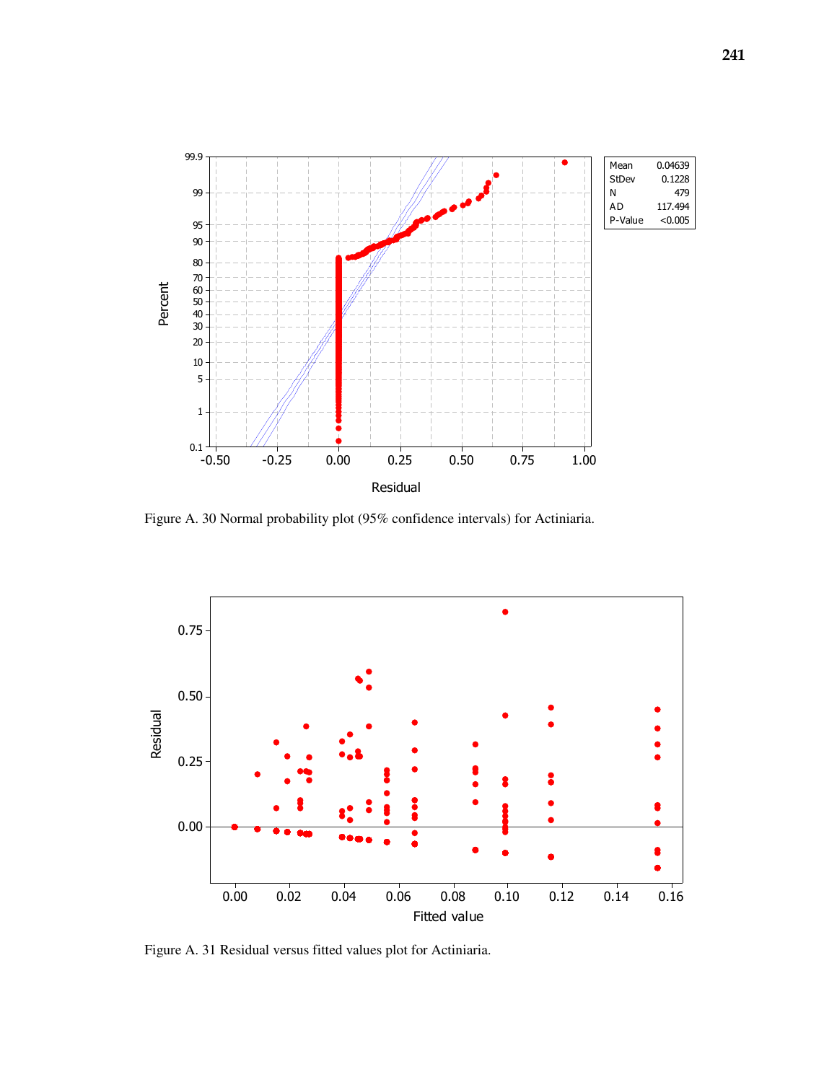

Figure A. 30 Normal probability plot (95% confidence intervals) for Actiniaria.



Figure A. 31 Residual versus fitted values plot for Actiniaria.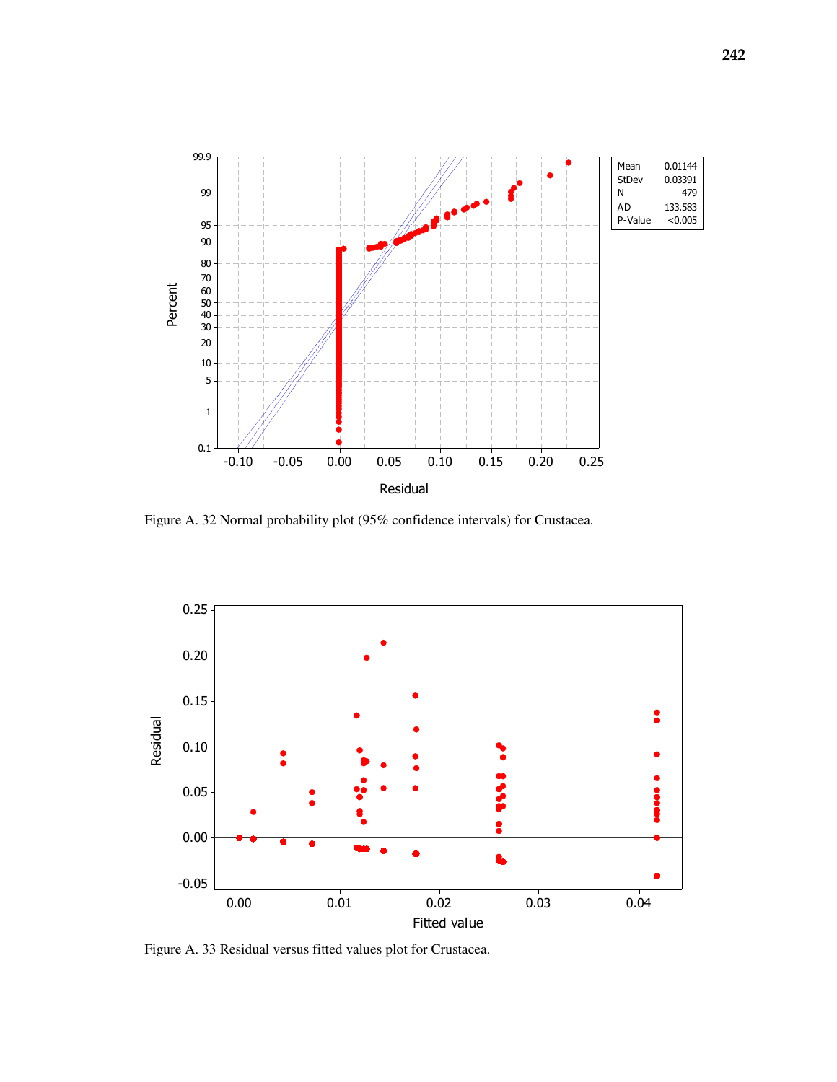

Figure A. 32 Normal probability plot (95% confidence intervals) for Crustacea.



Figure A. 33 Residual versus fitted values plot for Crustacea.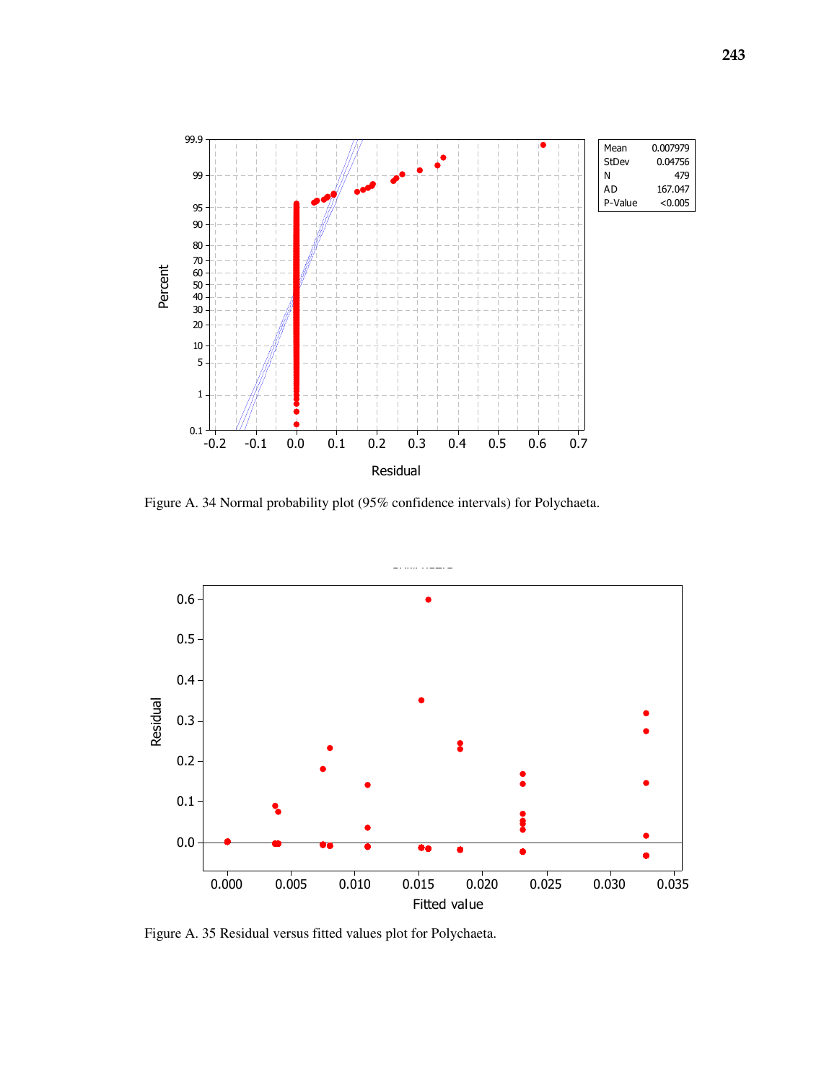

Figure A. 34 Normal probability plot (95% confidence intervals) for Polychaeta.



Figure A. 35 Residual versus fitted values plot for Polychaeta.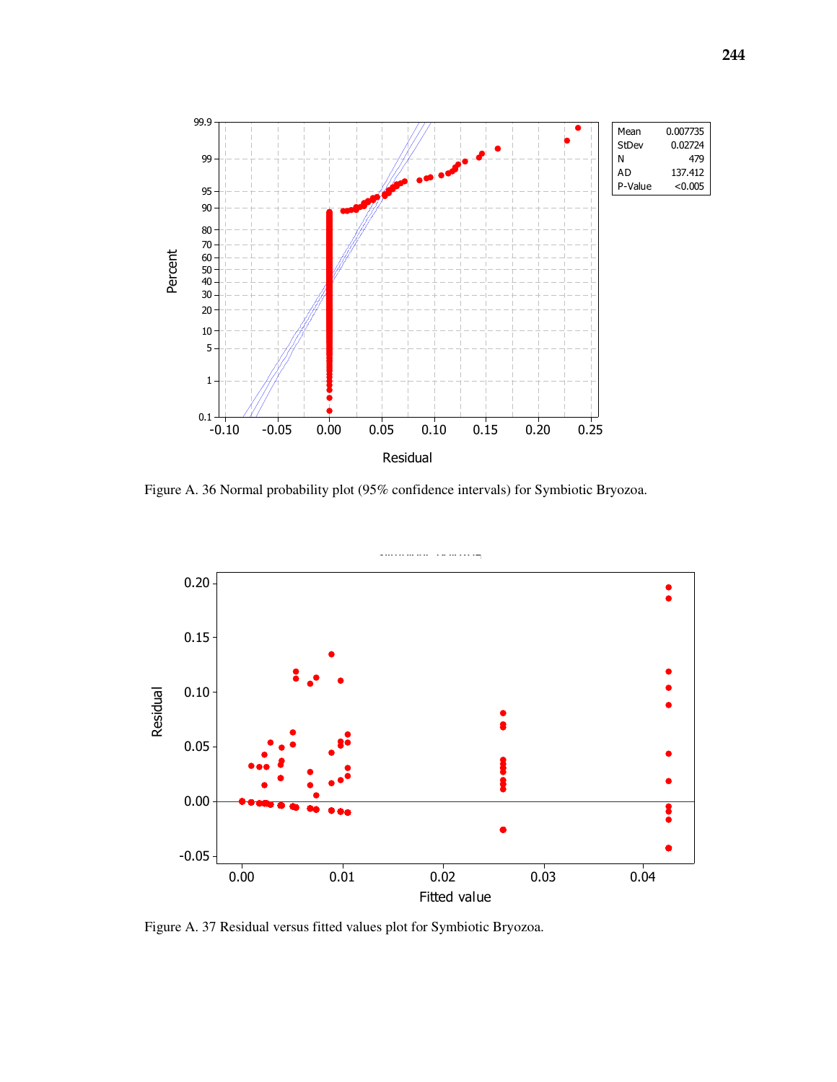

Figure A. 36 Normal probability plot (95% confidence intervals) for Symbiotic Bryozoa.



Figure A. 37 Residual versus fitted values plot for Symbiotic Bryozoa.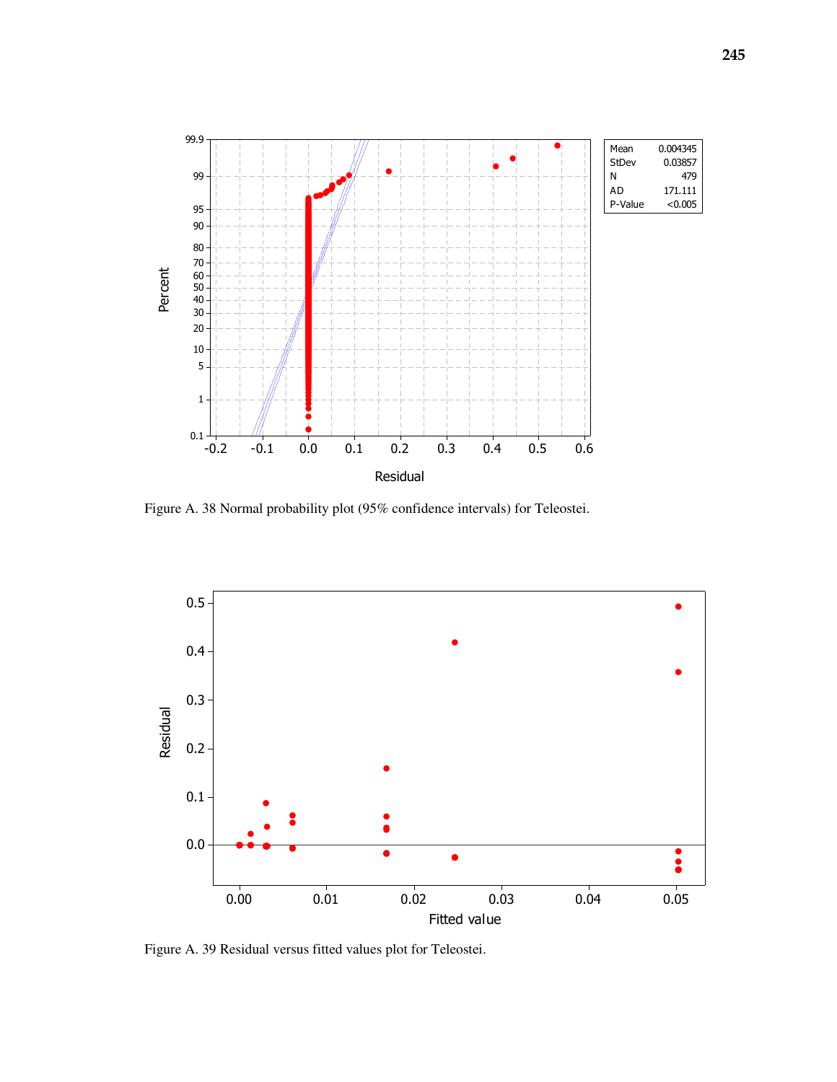

Figure A. 38 Normal probability plot (95% confidence intervals) for Teleostei.



Figure A. 39 Residual versus fitted values plot for Teleostei.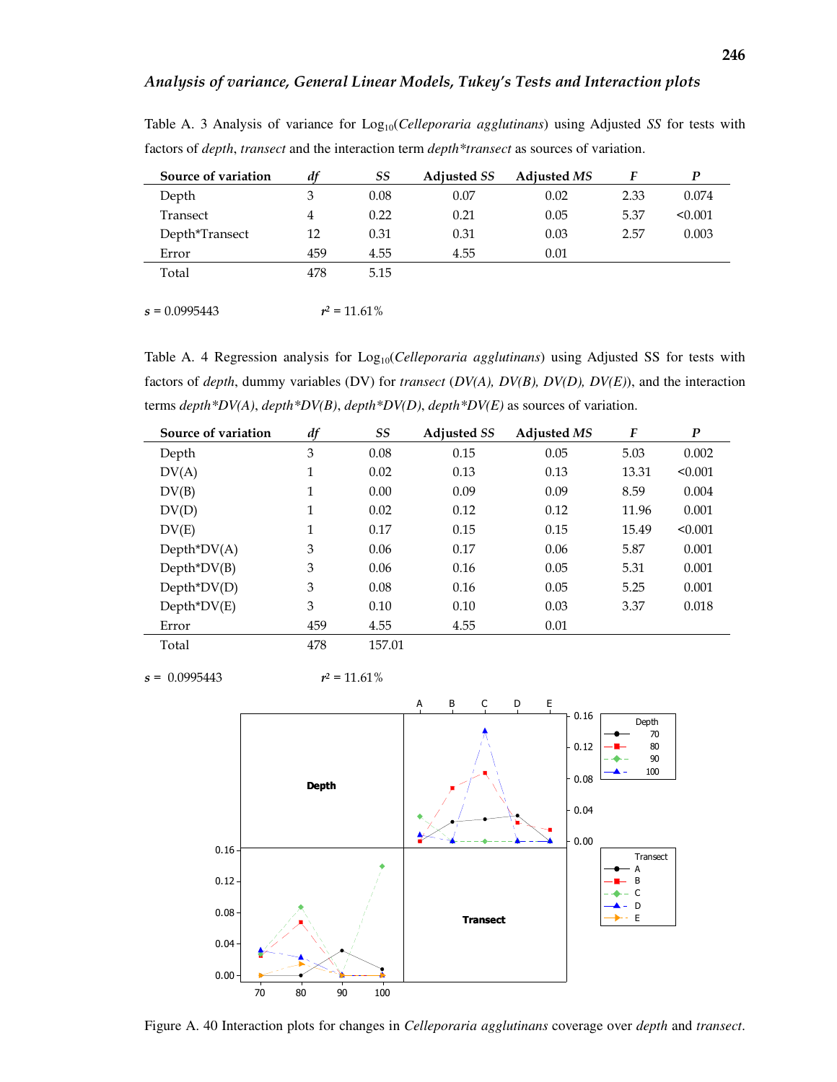| Source of variation | df  | SS              | <b>Adjusted SS</b> | <b>Adjusted MS</b> | F    | P       |
|---------------------|-----|-----------------|--------------------|--------------------|------|---------|
| Depth               | 3   | 0.08            | 0.07               | 0.02               | 2.33 | 0.074   |
| Transect            | 4   | 0.22            | 0.21               | 0.05               | 5.37 | < 0.001 |
| Depth*Transect      | 12  | 0.31            | 0.31               | 0.03               | 2.57 | 0.003   |
| Error               | 459 | 4.55            | 4.55               | 0.01               |      |         |
| Total               | 478 | 5.15            |                    |                    |      |         |
|                     |     |                 |                    |                    |      |         |
| $s = 0.0995443$     |     | $r^2 = 11.61\%$ |                    |                    |      |         |

Table A. 3 Analysis of variance for Log10(*Celleporaria agglutinans*) using Adjusted *SS* for tests with factors of *depth*, *transect* and the interaction term *depth\*transect* as sources of variation.

Table A. 4 Regression analysis for Log<sub>10</sub>(*Celleporaria agglutinans*) using Adjusted SS for tests with factors of *depth*, dummy variables (DV) for *transect* (*DV(A), DV(B), DV(D), DV(E)*), and the interaction terms *depth\*DV(A)*, *depth\*DV(B)*, *depth\*DV(D)*, *depth\*DV(E)* as sources of variation.

| Source of variation | df  | SS     | <b>Adjusted SS</b> | <b>Adjusted MS</b> | F     | $\boldsymbol{P}$ |
|---------------------|-----|--------|--------------------|--------------------|-------|------------------|
| Depth               | 3   | 0.08   | 0.15               | 0.05               | 5.03  | 0.002            |
| DV(A)               | 1   | 0.02   | 0.13               | 0.13               | 13.31 | < 0.001          |
| DV(B)               | 1   | 0.00   | 0.09               | 0.09               | 8.59  | 0.004            |
| DV(D)               | 1   | 0.02   | 0.12               | 0.12               | 11.96 | 0.001            |
| DV(E)               | 1   | 0.17   | 0.15               | 0.15               | 15.49 | < 0.001          |
| $Depth^*DV(A)$      | 3   | 0.06   | 0.17               | 0.06               | 5.87  | 0.001            |
| $Depth^*DV(B)$      | 3   | 0.06   | 0.16               | 0.05               | 5.31  | 0.001            |
| $Depth^*DV(D)$      | 3   | 0.08   | 0.16               | 0.05               | 5.25  | 0.001            |
| $Depth^*DV(E)$      | 3   | 0.10   | 0.10               | 0.03               | 3.37  | 0.018            |
| Error               | 459 | 4.55   | 4.55               | 0.01               |       |                  |
| Total               | 478 | 157.01 |                    |                    |       |                  |

 $s = 0.0995443$   $r^2 = 11.61\%$ 



Figure A. 40 Interaction plots for changes in *Celleporaria agglutinans* coverage over *depth* and *transect*.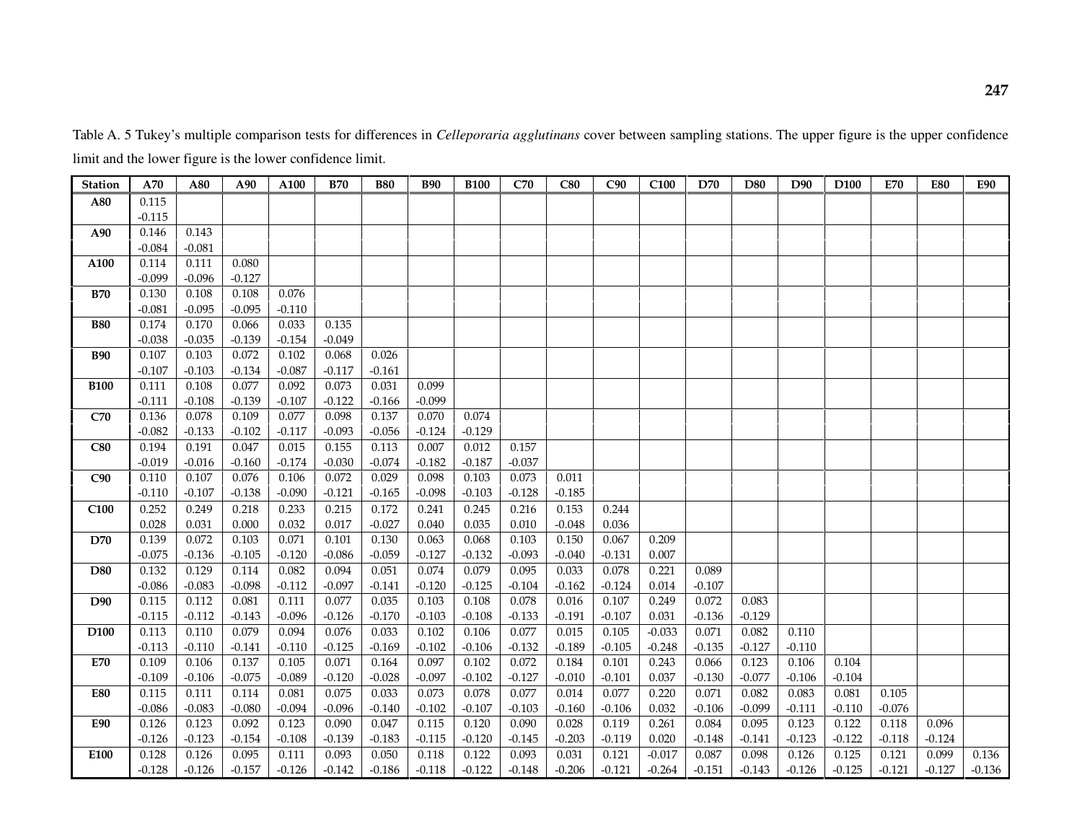Table A. 5 Tukey's multiple comparison tests for differences in *Celleporaria agglutinans* cover between sampling stations. The upper figure is the upper confidence limit and the lower figure is the lower confidence limit.

| <b>Station</b>   | A70      | A80      | A90      | A100     | <b>B70</b> | <b>B80</b> | <b>B90</b> | <b>B100</b> | C70      | C80      | C90      | C <sub>100</sub> | D70      | D80      | D90      | D <sub>100</sub> | <b>E70</b> | <b>E80</b> | <b>E90</b> |
|------------------|----------|----------|----------|----------|------------|------------|------------|-------------|----------|----------|----------|------------------|----------|----------|----------|------------------|------------|------------|------------|
| A80              | 0.115    |          |          |          |            |            |            |             |          |          |          |                  |          |          |          |                  |            |            |            |
|                  | $-0.115$ |          |          |          |            |            |            |             |          |          |          |                  |          |          |          |                  |            |            |            |
| A90              | 0.146    | 0.143    |          |          |            |            |            |             |          |          |          |                  |          |          |          |                  |            |            |            |
|                  | $-0.084$ | $-0.081$ |          |          |            |            |            |             |          |          |          |                  |          |          |          |                  |            |            |            |
| A100             | 0.114    | 0.111    | 0.080    |          |            |            |            |             |          |          |          |                  |          |          |          |                  |            |            |            |
|                  | $-0.099$ | $-0.096$ | $-0.127$ |          |            |            |            |             |          |          |          |                  |          |          |          |                  |            |            |            |
| <b>B70</b>       | 0.130    | 0.108    | 0.108    | 0.076    |            |            |            |             |          |          |          |                  |          |          |          |                  |            |            |            |
|                  | $-0.081$ | $-0.095$ | $-0.095$ | $-0.110$ |            |            |            |             |          |          |          |                  |          |          |          |                  |            |            |            |
| <b>B80</b>       | 0.174    | 0.170    | 0.066    | 0.033    | 0.135      |            |            |             |          |          |          |                  |          |          |          |                  |            |            |            |
|                  | $-0.038$ | $-0.035$ | $-0.139$ | $-0.154$ | $-0.049$   |            |            |             |          |          |          |                  |          |          |          |                  |            |            |            |
| <b>B90</b>       | 0.107    | 0.103    | 0.072    | 0.102    | 0.068      | 0.026      |            |             |          |          |          |                  |          |          |          |                  |            |            |            |
|                  | $-0.107$ | $-0.103$ | $-0.134$ | $-0.087$ | $-0.117$   | $-0.161$   |            |             |          |          |          |                  |          |          |          |                  |            |            |            |
| <b>B100</b>      | 0.111    | 0.108    | 0.077    | 0.092    | 0.073      | 0.031      | 0.099      |             |          |          |          |                  |          |          |          |                  |            |            |            |
|                  | $-0.111$ | $-0.108$ | $-0.139$ | $-0.107$ | $-0.122$   | $-0.166$   | $-0.099$   |             |          |          |          |                  |          |          |          |                  |            |            |            |
| C70              | 0.136    | 0.078    | 0.109    | 0.077    | 0.098      | 0.137      | 0.070      | 0.074       |          |          |          |                  |          |          |          |                  |            |            |            |
|                  | $-0.082$ | $-0.133$ | $-0.102$ | $-0.117$ | $-0.093$   | $-0.056$   | $-0.124$   | $-0.129$    |          |          |          |                  |          |          |          |                  |            |            |            |
| C80              | 0.194    | 0.191    | 0.047    | 0.015    | 0.155      | 0.113      | 0.007      | 0.012       | 0.157    |          |          |                  |          |          |          |                  |            |            |            |
|                  | $-0.019$ | $-0.016$ | $-0.160$ | $-0.174$ | $-0.030$   | $-0.074$   | $-0.182$   | $-0.187$    | $-0.037$ |          |          |                  |          |          |          |                  |            |            |            |
| C90              | 0.110    | 0.107    | 0.076    | 0.106    | 0.072      | 0.029      | 0.098      | 0.103       | 0.073    | 0.011    |          |                  |          |          |          |                  |            |            |            |
|                  | $-0.110$ | $-0.107$ | $-0.138$ | $-0.090$ | $-0.121$   | $-0.165$   | $-0.098$   | $-0.103$    | $-0.128$ | $-0.185$ |          |                  |          |          |          |                  |            |            |            |
| C <sub>100</sub> | 0.252    | 0.249    | 0.218    | 0.233    | 0.215      | 0.172      | 0.241      | 0.245       | 0.216    | 0.153    | 0.244    |                  |          |          |          |                  |            |            |            |
|                  | 0.028    | 0.031    | 0.000    | 0.032    | 0.017      | $-0.027$   | 0.040      | 0.035       | 0.010    | $-0.048$ | 0.036    |                  |          |          |          |                  |            |            |            |
| <b>D70</b>       | 0.139    | 0.072    | 0.103    | 0.071    | 0.101      | 0.130      | 0.063      | 0.068       | 0.103    | 0.150    | 0.067    | 0.209            |          |          |          |                  |            |            |            |
|                  | $-0.075$ | $-0.136$ | $-0.105$ | $-0.120$ | $-0.086$   | $-0.059$   | $-0.127$   | $-0.132$    | $-0.093$ | $-0.040$ | $-0.131$ | 0.007            |          |          |          |                  |            |            |            |
| <b>D80</b>       | 0.132    | 0.129    | 0.114    | 0.082    | 0.094      | 0.051      | 0.074      | 0.079       | 0.095    | 0.033    | 0.078    | 0.221            | 0.089    |          |          |                  |            |            |            |
|                  | $-0.086$ | $-0.083$ | $-0.098$ | $-0.112$ | $-0.097$   | $-0.141$   | $-0.120$   | $-0.125$    | $-0.104$ | $-0.162$ | $-0.124$ | 0.014            | $-0.107$ |          |          |                  |            |            |            |
| D90              | 0.115    | 0.112    | 0.081    | 0.111    | 0.077      | 0.035      | 0.103      | 0.108       | 0.078    | 0.016    | 0.107    | 0.249            | 0.072    | 0.083    |          |                  |            |            |            |
|                  | $-0.115$ | $-0.112$ | $-0.143$ | $-0.096$ | $-0.126$   | $-0.170$   | $-0.103$   | $-0.108$    | $-0.133$ | $-0.191$ | $-0.107$ | 0.031            | $-0.136$ | $-0.129$ |          |                  |            |            |            |
| D <sub>100</sub> | 0.113    | 0.110    | 0.079    | 0.094    | 0.076      | 0.033      | 0.102      | 0.106       | 0.077    | 0.015    | 0.105    | $-0.033$         | 0.071    | 0.082    | 0.110    |                  |            |            |            |
|                  | $-0.113$ | $-0.110$ | $-0.141$ | $-0.110$ | $-0.125$   | $-0.169$   | $-0.102$   | $-0.106$    | $-0.132$ | $-0.189$ | $-0.105$ | $-0.248$         | $-0.135$ | $-0.127$ | $-0.110$ |                  |            |            |            |
| E70              | 0.109    | 0.106    | 0.137    | 0.105    | 0.071      | 0.164      | 0.097      | 0.102       | 0.072    | 0.184    | 0.101    | 0.243            | 0.066    | 0.123    | 0.106    | 0.104            |            |            |            |
|                  | $-0.109$ | $-0.106$ | $-0.075$ | $-0.089$ | $-0.120$   | $-0.028$   | $-0.097$   | $-0.102$    | $-0.127$ | $-0.010$ | $-0.101$ | 0.037            | $-0.130$ | $-0.077$ | $-0.106$ | $-0.104$         |            |            |            |
| <b>E80</b>       | 0.115    | 0.111    | 0.114    | 0.081    | 0.075      | 0.033      | 0.073      | 0.078       | 0.077    | 0.014    | 0.077    | 0.220            | 0.071    | 0.082    | 0.083    | 0.081            | 0.105      |            |            |
|                  | $-0.086$ | $-0.083$ | $-0.080$ | $-0.094$ | $-0.096$   | $-0.140$   | $-0.102$   | $-0.107$    | $-0.103$ | $-0.160$ | $-0.106$ | 0.032            | $-0.106$ | $-0.099$ | $-0.111$ | $-0.110$         | $-0.076$   |            |            |
| E90              | 0.126    | 0.123    | 0.092    | 0.123    | 0.090      | 0.047      | 0.115      | 0.120       | 0.090    | 0.028    | 0.119    | 0.261            | 0.084    | 0.095    | 0.123    | 0.122            | 0.118      | 0.096      |            |
|                  | $-0.126$ | $-0.123$ | $-0.154$ | $-0.108$ | $-0.139$   | $-0.183$   | $-0.115$   | $-0.120$    | $-0.145$ | $-0.203$ | $-0.119$ | 0.020            | $-0.148$ | $-0.141$ | $-0.123$ | $-0.122$         | $-0.118$   | $-0.124$   |            |
| E100             | 0.128    | 0.126    | 0.095    | 0.111    | 0.093      | 0.050      | 0.118      | 0.122       | 0.093    | 0.031    | 0.121    | $-0.017$         | 0.087    | 0.098    | 0.126    | 0.125            | 0.121      | 0.099      | 0.136      |
|                  | $-0.128$ | $-0.126$ | $-0.157$ | $-0.126$ | $-0.142$   | $-0.186$   | $-0.118$   | $-0.122$    | $-0.148$ | $-0.206$ | $-0.121$ | $-0.264$         | $-0.151$ | $-0.143$ | $-0.126$ | $-0.125$         | $-0.121$   | $-0.127$   | $-0.136$   |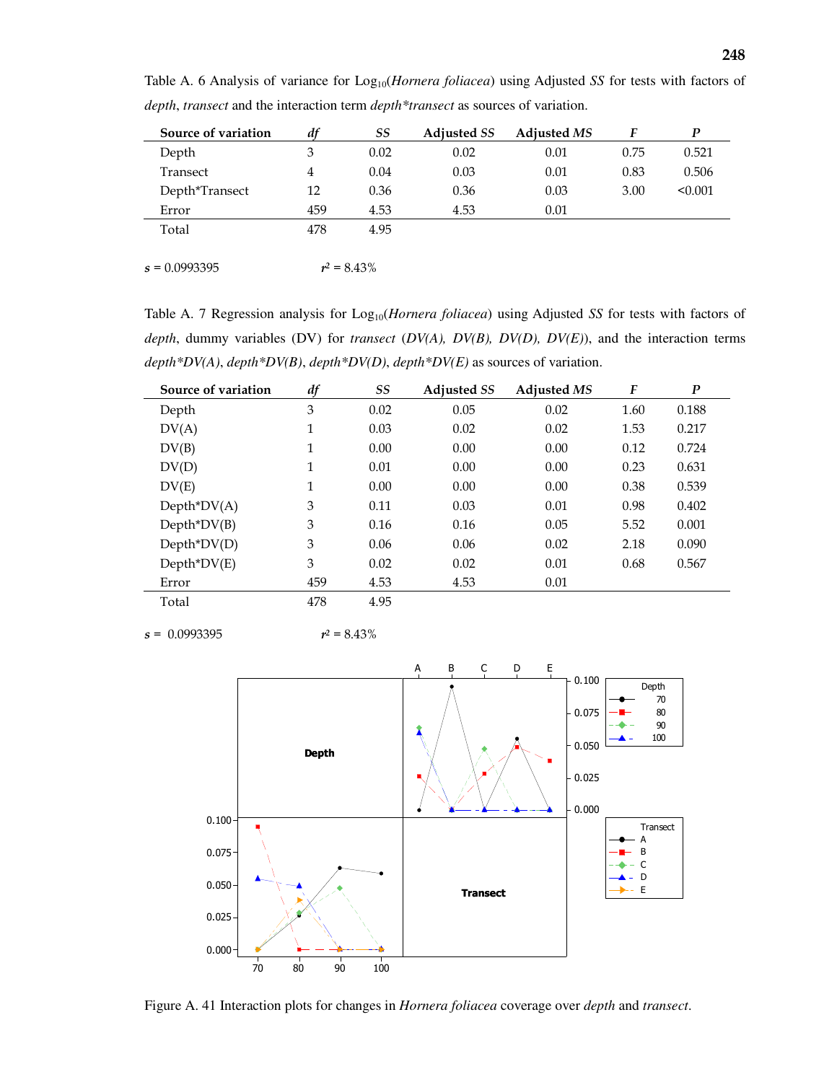| Source of variation | df  | SS   | <b>Adjusted SS</b> | <b>Adjusted MS</b> |      | D       |
|---------------------|-----|------|--------------------|--------------------|------|---------|
| Depth               | 3   | 0.02 | 0.02               | 0.01               | 0.75 | 0.521   |
| Transect            | 4   | 0.04 | 0.03               | 0.01               | 0.83 | 0.506   |
| Depth*Transect      | 12  | 0.36 | 0.36               | 0.03               | 3.00 | < 0.001 |
| Error               | 459 | 4.53 | 4.53               | 0.01               |      |         |
| Total               | 478 | 4.95 |                    |                    |      |         |
|                     |     |      |                    |                    |      |         |

Table A. 6 Analysis of variance for Log<sub>10</sub>(*Hornera foliacea*) using Adjusted *SS* for tests with factors of *depth*, *transect* and the interaction term *depth\*transect* as sources of variation.

 $s = 0.0993395$  $r^2 = 8.43\%$ 

Table A. 7 Regression analysis for Log<sub>10</sub>(*Hornera foliacea*) using Adjusted *SS* for tests with factors of *depth*, dummy variables (DV) for *transect* (*DV(A), DV(B), DV(D), DV(E)*), and the interaction terms *depth\*DV(A)*, *depth\*DV(B)*, *depth\*DV(D)*, *depth\*DV(E)* as sources of variation.

| Source of variation | df          | <b>SS</b> | <b>Adjusted SS</b> | <b>Adiusted MS</b> | F    | $\boldsymbol{P}$ |
|---------------------|-------------|-----------|--------------------|--------------------|------|------------------|
| Depth               | 3           | 0.02      | 0.05               | 0.02               | 1.60 | 0.188            |
| DV(A)               | 1           | 0.03      | 0.02               | 0.02               | 1.53 | 0.217            |
| DV(B)               | 1           | 0.00      | 0.00               | 0.00               | 0.12 | 0.724            |
| DV(D)               | $\mathbf 1$ | 0.01      | 0.00               | 0.00               | 0.23 | 0.631            |
| DV(E)               | $\mathbf 1$ | 0.00      | 0.00               | 0.00               | 0.38 | 0.539            |
| $Depth^*DV(A)$      | 3           | 0.11      | 0.03               | 0.01               | 0.98 | 0.402            |
| $Depth^*DV(B)$      | 3           | 0.16      | 0.16               | 0.05               | 5.52 | 0.001            |
| $Depth^*DV(D)$      | 3           | 0.06      | 0.06               | 0.02               | 2.18 | 0.090            |
| $Depth^*DV(E)$      | 3           | 0.02      | 0.02               | 0.01               | 0.68 | 0.567            |
| Error               | 459         | 4.53      | 4.53               | 0.01               |      |                  |
| Total               | 478         | 4.95      |                    |                    |      |                  |

 $s = 0.0993395$   $r^2 = 8.43\%$ 



Figure A. 41 Interaction plots for changes in *Hornera foliacea* coverage over *depth* and *transect*.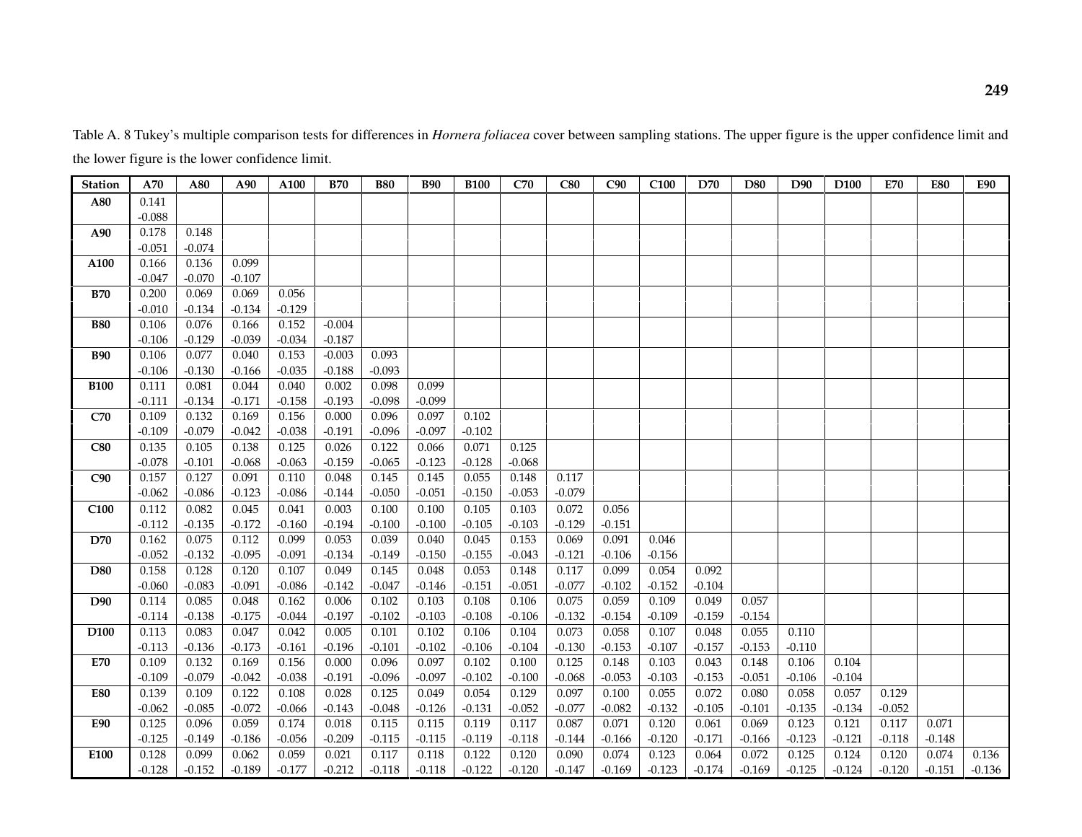Table A. 8 Tukey's multiple comparison tests for differences in *Hornera foliacea* cover between sampling stations. The upper figure is the upper confidence limit and the lower figure is the lower confidence limit.

| <b>Station</b>   | A70      | A80      | A90      | A100     | <b>B70</b> | <b>B80</b> | <b>B90</b> | <b>B100</b> | C70      | C80      | C90      | C <sub>100</sub> | D70      | D80      | D90      | D <sub>100</sub> | <b>E70</b> | <b>E80</b> | <b>E90</b> |
|------------------|----------|----------|----------|----------|------------|------------|------------|-------------|----------|----------|----------|------------------|----------|----------|----------|------------------|------------|------------|------------|
| A80              | 0.141    |          |          |          |            |            |            |             |          |          |          |                  |          |          |          |                  |            |            |            |
|                  | $-0.088$ |          |          |          |            |            |            |             |          |          |          |                  |          |          |          |                  |            |            |            |
| A90              | 0.178    | 0.148    |          |          |            |            |            |             |          |          |          |                  |          |          |          |                  |            |            |            |
|                  | $-0.051$ | $-0.074$ |          |          |            |            |            |             |          |          |          |                  |          |          |          |                  |            |            |            |
| A100             | 0.166    | 0.136    | 0.099    |          |            |            |            |             |          |          |          |                  |          |          |          |                  |            |            |            |
|                  | $-0.047$ | $-0.070$ | $-0.107$ |          |            |            |            |             |          |          |          |                  |          |          |          |                  |            |            |            |
| <b>B70</b>       | 0.200    | 0.069    | 0.069    | 0.056    |            |            |            |             |          |          |          |                  |          |          |          |                  |            |            |            |
|                  | $-0.010$ | $-0.134$ | $-0.134$ | $-0.129$ |            |            |            |             |          |          |          |                  |          |          |          |                  |            |            |            |
| <b>B80</b>       | 0.106    | 0.076    | 0.166    | 0.152    | $-0.004$   |            |            |             |          |          |          |                  |          |          |          |                  |            |            |            |
|                  | $-0.106$ | $-0.129$ | $-0.039$ | $-0.034$ | $-0.187$   |            |            |             |          |          |          |                  |          |          |          |                  |            |            |            |
| <b>B90</b>       | 0.106    | 0.077    | 0.040    | 0.153    | $-0.003$   | 0.093      |            |             |          |          |          |                  |          |          |          |                  |            |            |            |
|                  | $-0.106$ | $-0.130$ | $-0.166$ | $-0.035$ | $-0.188$   | $-0.093$   |            |             |          |          |          |                  |          |          |          |                  |            |            |            |
| <b>B100</b>      | 0.111    | 0.081    | 0.044    | 0.040    | 0.002      | 0.098      | 0.099      |             |          |          |          |                  |          |          |          |                  |            |            |            |
|                  | $-0.111$ | $-0.134$ | $-0.171$ | $-0.158$ | $-0.193$   | $-0.098$   | $-0.099$   |             |          |          |          |                  |          |          |          |                  |            |            |            |
| C70              | 0.109    | 0.132    | 0.169    | 0.156    | 0.000      | 0.096      | 0.097      | 0.102       |          |          |          |                  |          |          |          |                  |            |            |            |
|                  | $-0.109$ | $-0.079$ | $-0.042$ | $-0.038$ | $-0.191$   | $-0.096$   | $-0.097$   | $-0.102$    |          |          |          |                  |          |          |          |                  |            |            |            |
| C80              | 0.135    | 0.105    | 0.138    | 0.125    | 0.026      | 0.122      | 0.066      | 0.071       | 0.125    |          |          |                  |          |          |          |                  |            |            |            |
|                  | $-0.078$ | $-0.101$ | $-0.068$ | $-0.063$ | $-0.159$   | $-0.065$   | $-0.123$   | $-0.128$    | $-0.068$ |          |          |                  |          |          |          |                  |            |            |            |
| C90              | 0.157    | 0.127    | 0.091    | 0.110    | 0.048      | 0.145      | 0.145      | 0.055       | 0.148    | 0.117    |          |                  |          |          |          |                  |            |            |            |
|                  | $-0.062$ | $-0.086$ | $-0.123$ | $-0.086$ | $-0.144$   | $-0.050$   | $-0.051$   | $-0.150$    | $-0.053$ | $-0.079$ |          |                  |          |          |          |                  |            |            |            |
| C <sub>100</sub> | 0.112    | 0.082    | 0.045    | 0.041    | 0.003      | 0.100      | 0.100      | 0.105       | 0.103    | 0.072    | 0.056    |                  |          |          |          |                  |            |            |            |
|                  | $-0.112$ | $-0.135$ | $-0.172$ | $-0.160$ | $-0.194$   | $-0.100$   | $-0.100$   | $-0.105$    | $-0.103$ | $-0.129$ | $-0.151$ |                  |          |          |          |                  |            |            |            |
| <b>D70</b>       | 0.162    | 0.075    | 0.112    | 0.099    | 0.053      | 0.039      | 0.040      | 0.045       | 0.153    | 0.069    | 0.091    | 0.046            |          |          |          |                  |            |            |            |
|                  | $-0.052$ | $-0.132$ | $-0.095$ | $-0.091$ | $-0.134$   | $-0.149$   | $-0.150$   | $-0.155$    | $-0.043$ | $-0.121$ | $-0.106$ | $-0.156$         |          |          |          |                  |            |            |            |
| <b>D80</b>       | 0.158    | 0.128    | 0.120    | 0.107    | 0.049      | 0.145      | 0.048      | 0.053       | 0.148    | 0.117    | 0.099    | 0.054            | 0.092    |          |          |                  |            |            |            |
|                  | $-0.060$ | $-0.083$ | $-0.091$ | $-0.086$ | $-0.142$   | $-0.047$   | $-0.146$   | $-0.151$    | $-0.051$ | $-0.077$ | $-0.102$ | $-0.152$         | $-0.104$ |          |          |                  |            |            |            |
| D90              | 0.114    | 0.085    | 0.048    | 0.162    | 0.006      | 0.102      | 0.103      | 0.108       | 0.106    | 0.075    | 0.059    | 0.109            | 0.049    | 0.057    |          |                  |            |            |            |
|                  | $-0.114$ | $-0.138$ | $-0.175$ | $-0.044$ | $-0.197$   | $-0.102$   | $-0.103$   | $-0.108$    | $-0.106$ | $-0.132$ | $-0.154$ | $-0.109$         | $-0.159$ | $-0.154$ |          |                  |            |            |            |
| D <sub>100</sub> | 0.113    | 0.083    | 0.047    | 0.042    | 0.005      | 0.101      | 0.102      | 0.106       | 0.104    | 0.073    | 0.058    | 0.107            | 0.048    | 0.055    | 0.110    |                  |            |            |            |
|                  | $-0.113$ | $-0.136$ | $-0.173$ | $-0.161$ | $-0.196$   | $-0.101$   | $-0.102$   | $-0.106$    | $-0.104$ | $-0.130$ | $-0.153$ | $-0.107$         | $-0.157$ | $-0.153$ | $-0.110$ |                  |            |            |            |
| E70              | 0.109    | 0.132    | 0.169    | 0.156    | 0.000      | 0.096      | 0.097      | 0.102       | 0.100    | 0.125    | 0.148    | 0.103            | 0.043    | 0.148    | 0.106    | 0.104            |            |            |            |
|                  | $-0.109$ | $-0.079$ | $-0.042$ | $-0.038$ | $-0.191$   | $-0.096$   | $-0.097$   | $-0.102$    | $-0.100$ | $-0.068$ | $-0.053$ | $-0.103$         | $-0.153$ | $-0.051$ | $-0.106$ | $-0.104$         |            |            |            |
| <b>E80</b>       | 0.139    | 0.109    | 0.122    | 0.108    | 0.028      | 0.125      | 0.049      | 0.054       | 0.129    | 0.097    | 0.100    | 0.055            | 0.072    | 0.080    | 0.058    | 0.057            | 0.129      |            |            |
|                  | $-0.062$ | $-0.085$ | $-0.072$ | $-0.066$ | $-0.143$   | $-0.048$   | $-0.126$   | $-0.131$    | $-0.052$ | $-0.077$ | $-0.082$ | $-0.132$         | $-0.105$ | $-0.101$ | $-0.135$ | $-0.134$         | $-0.052$   |            |            |
| <b>E90</b>       | 0.125    | 0.096    | 0.059    | 0.174    | 0.018      | 0.115      | 0.115      | 0.119       | 0.117    | 0.087    | 0.071    | 0.120            | 0.061    | 0.069    | 0.123    | 0.121            | 0.117      | 0.071      |            |
|                  | $-0.125$ | $-0.149$ | $-0.186$ | $-0.056$ | $-0.209$   | $-0.115$   | $-0.115$   | $-0.119$    | $-0.118$ | $-0.144$ | $-0.166$ | $-0.120$         | $-0.171$ | $-0.166$ | $-0.123$ | $-0.121$         | $-0.118$   | $-0.148$   |            |
| E100             | 0.128    | 0.099    | 0.062    | 0.059    | 0.021      | 0.117      | 0.118      | 0.122       | 0.120    | 0.090    | 0.074    | 0.123            | 0.064    | 0.072    | 0.125    | 0.124            | 0.120      | 0.074      | 0.136      |
|                  | $-0.128$ | $-0.152$ | $-0.189$ | $-0.177$ | $-0.212$   | $-0.118$   | $-0.118$   | $-0.122$    | $-0.120$ | $-0.147$ | $-0.169$ | $-0.123$         | $-0.174$ | $-0.169$ | $-0.125$ | $-0.124$         | $-0.120$   | $-0.151$   | $-0.136$   |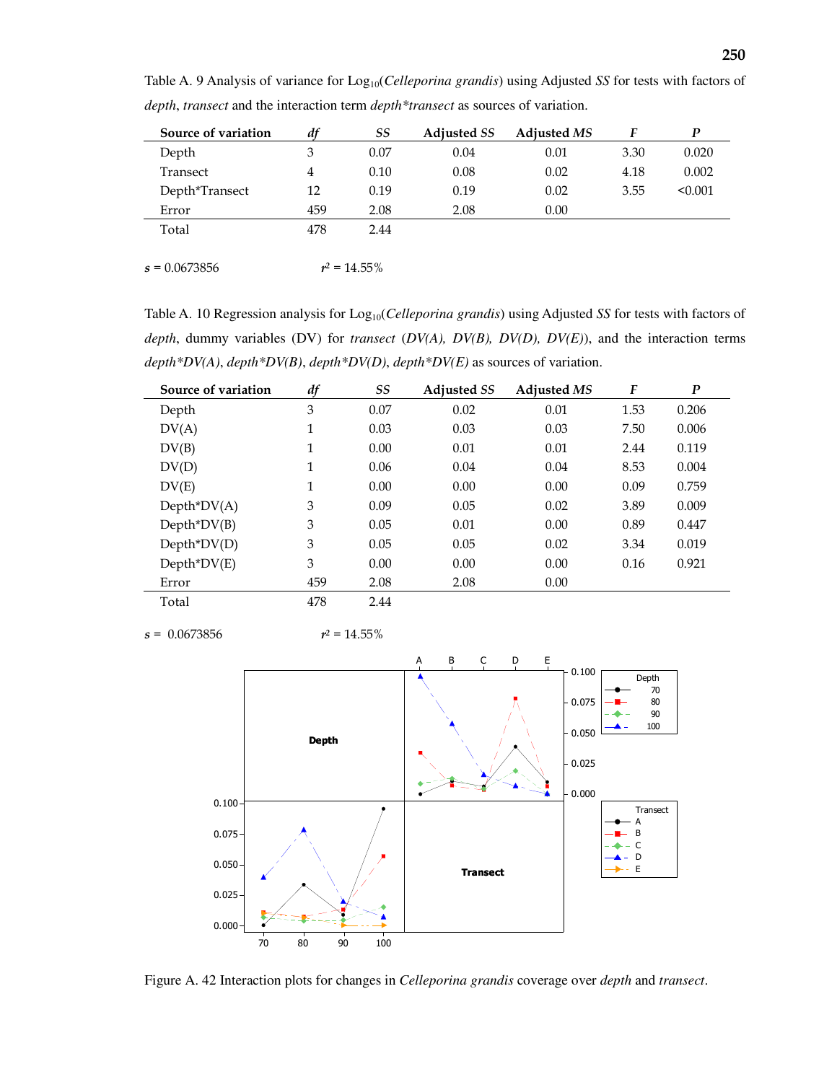| Source of variation | df  | SS   | <b>Adjusted SS</b> | <b>Adjusted MS</b> |      | D       |
|---------------------|-----|------|--------------------|--------------------|------|---------|
| Depth               | 3   | 0.07 | 0.04               | 0.01               | 3.30 | 0.020   |
| Transect            | 4   | 0.10 | 0.08               | 0.02               | 4.18 | 0.002   |
| Depth*Transect      | 12  | 0.19 | 0.19               | 0.02               | 3.55 | < 0.001 |
| Error               | 459 | 2.08 | 2.08               | 0.00               |      |         |
| Total               | 478 | 2.44 |                    |                    |      |         |
|                     |     |      |                    |                    |      |         |

Table A. 9 Analysis of variance for Log<sub>10</sub>(*Celleporina grandis*) using Adjusted *SS* for tests with factors of *depth*, *transect* and the interaction term *depth\*transect* as sources of variation.

 $s = 0.0673856$  $r^2 = 14.55\%$ 

Table A. 10 Regression analysis for Log<sub>10</sub>(*Celleporina grandis*) using Adjusted *SS* for tests with factors of *depth*, dummy variables (DV) for *transect* (*DV(A), DV(B), DV(D), DV(E)*), and the interaction terms *depth\*DV(A)*, *depth\*DV(B)*, *depth\*DV(D)*, *depth\*DV(E)* as sources of variation.

| Source of variation | df           | <b>SS</b> | <b>Adjusted SS</b> | <b>Adjusted MS</b> | F    | $\boldsymbol{P}$ |
|---------------------|--------------|-----------|--------------------|--------------------|------|------------------|
| Depth               | 3            | 0.07      | 0.02               | 0.01               | 1.53 | 0.206            |
| DV(A)               | 1            | 0.03      | 0.03               | 0.03               | 7.50 | 0.006            |
| DV(B)               | 1            | 0.00      | 0.01               | 0.01               | 2.44 | 0.119            |
| DV(D)               | $\mathbf{1}$ | 0.06      | 0.04               | 0.04               | 8.53 | 0.004            |
| DV(E)               | $\mathbf{1}$ | 0.00      | 0.00               | 0.00               | 0.09 | 0.759            |
| $Depth^*DV(A)$      | 3            | 0.09      | 0.05               | 0.02               | 3.89 | 0.009            |
| $Depth^*DV(B)$      | 3            | 0.05      | 0.01               | 0.00               | 0.89 | 0.447            |
| $Depth^*DV(D)$      | 3            | 0.05      | 0.05               | 0.02               | 3.34 | 0.019            |
| $Depth^*DV(E)$      | 3            | 0.00      | 0.00               | 0.00               | 0.16 | 0.921            |
| Error               | 459          | 2.08      | 2.08               | 0.00               |      |                  |
| Total               | 478          | 2.44      |                    |                    |      |                  |

 $s = 0.0673856$   $r^2 = 14.55\%$ 



Figure A. 42 Interaction plots for changes in *Celleporina grandis* coverage over *depth* and *transect*.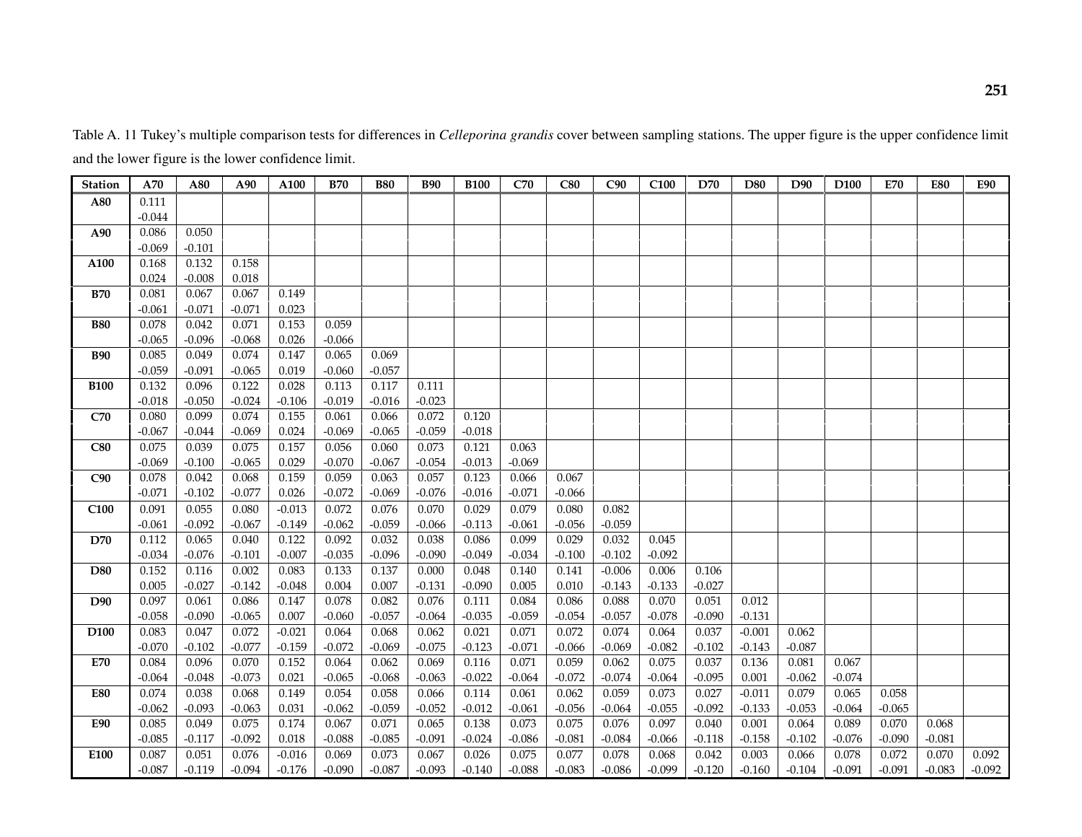Station | A70 | A80 | A90 | A100 | B70 | B80 | B90 | B100 | C70 | C80 | C90 | C100 | D70 | D80 | D90 | D100 | E70 | E80 | E90 A80 0.111 -0.044 A90 0.086 0.050 -0.069 -0.101 A100 0.168 0.132 0.158  $0.024$   $-0.008$  0.018  $0.067$ **B70** 0.081 0.067 0.067 0.149  $-0.061$   $-0.071$   $-0.071$  0.023  $0.153$ B80 0.078 0.042 0.071 0.153 0.059  $-0.065$   $-0.096$   $-0.068$  0.026  $-0.066$ B90 0.085 0.049 0.074 0.147 0.065 0.069  $-0.057$  $-0.059$   $-0.091$   $-0.065$  0.019  $-0.060$ **B100 | 0.132 | 0.096 | 0.122 | 0.028 | 0.113 | 0.117 | 0.111**  $-0.023$  $-0.018$   $-0.050$   $-0.024$   $-0.106$   $-0.019$   $-0.016$  $0.072$ **C70** 0.080 0.099 0.074 0.155 0.061 0.066 0.072 0.120  $-0.018$ -0.067 | -0.044 | -0.069 | 0.024 | -0.069 | -0.065 | -0.059 | -0.018 C80 | 0.075 | 0.039 | 0.075 | 0.157 | 0.056 | 0.060 | 0.073 | 0.121 | 0.063  $-0.069$ -0.069 -0.100 -0.065 -0.029 -0.070 -0.067 -0.054 -0.013 -0.069 C90 0.078 0.042 0.068 0.159 0.059 0.063 0.057 0.123 0.066 0.067 -0.071 -0.102 -0.077 0.026 -0.072 -0.069 -0.076 -0.016 -0.071 -0.066 C100 | 0.091 | 0.055 | 0.080 | -0.013 | 0.072 | 0.076 | 0.070 | 0.029 | 0.079 | 0.080 | 0.082 -0.061 | -0.092 | -0.067 | -0.149 | -0.062 | -0.059 | -0.066 | -0.113 | -0.061 | -0.056 | -0.059 | D70 0.112 0.065 0.040 0.122 0.092 0.032 0.038 0.086 0.099 0.029 0.032 0.045  $-0.092$ -0.034 -0.076 -0.101 -0.007 -0.035 -0.096 -0.090 -0.049 -0.034 -0.100 -0.102 -0.092 D80 0.152 0.116 0.002 0.083 0.133 0.137 0.000 0.048 0.140 0.141 -0.006 0.006 0.106  $-0.027$ 0.005 -0.027 -0.142 -0.048 0.004 0.007 -0.131 -0.090 0.005 0.010 -0.143 -0.133 -0.027 D90 0.097 0.061 0.086 0.147 0.078 0.082 0.076 0.111 0.084 0.086 0.088 0.070 0.051 0.012  $-0.131$ -0.058 -0.090 -0.065 0.007 -0.060 -0.057 -0.064 -0.035 -0.059 -0.054 -0.057 -0.078 -0.090 -0.131  $-0.001$ D100 0.083 0.047 0.072 -0.021 0.064 0.068 0.062 0.021 0.071 0.072 0.074 0.064 0.037 -0.001 0.062  $-0.087$ -0.070 -0.102 -0.077 -0.159 -0.072 -0.069 -0.075 -0.123 -0.071 -0.066 -0.069 -0.082 -0.102 -0.143 -0.087 E70 | 0.084 | 0.096 | 0.070 | 0.152 | 0.064 | 0.062 | 0.069 | 0.116 | 0.071 | 0.059 | 0.062 | 0.075 | 0.037 | 0.136 | 0.081 | 0.067  $-0.074$ -0.064 -0.048 -0.073 0.021 -0.065 -0.068 -0.063 -0.022 -0.064 -0.072 -0.074 -0.064 -0.095 0.001 -0.062 -0.074 E80 I 0.074 | 0.038 | 0.068 | 0.149 | 0.054 | 0.066 | 0.114 | 0.061 | 0.062 | 0.059 | 0.073 | 0.027 | -0.011 | 0.079 | 0.065 | 0.058  $-0.065$ -0.062 -0.093 -0.063 0.031 -0.062 -0.059 -0.052 -0.012 -0.061 -0.056 -0.064 -0.055 -0.092 -0.133 -0.053 -0.064 -0.065 E90 0.085 0.049 0.075 0.174 0.067 0.071 0.065 0.138 0.073 0.075 0.076 0.097 0.040 0.001 0.064 0.089 0.070 0.068  $-0.081$ -0.085 -0.117 -0.092 0.018 -0.088 -0.085 -0.091 -0.024 -0.086 -0.081 -0.084 -0.066 -0.118 -0.158 -0.102 -0.076 -0.090 -0.081 E100 | 0.087 | 0.051 | 0.076 | -0.016 | 0.069 | 0.073 | 0.067 | 0.025 | 0.077 | 0.078 | 0.068 | 0.042 | 0.003 | 0.066 | 0.078 | 0.072 | 0.070 | 0.092  $-0.092$ -0.087 -0.119 -0.094 -0.176 -0.090 -0.087 -0.093 -0.140 -0.088 -0.083 -0.086 -0.099 -0.120 -0.160 -0.104 -0.091 -0.091 -0.083 -0.092

Table A. 11 Tukey's multiple comparison tests for differences in *Celleporina grandis* cover between sampling stations. The upper figure is the upper confidence limit and the lower figure is the lower confidence limit.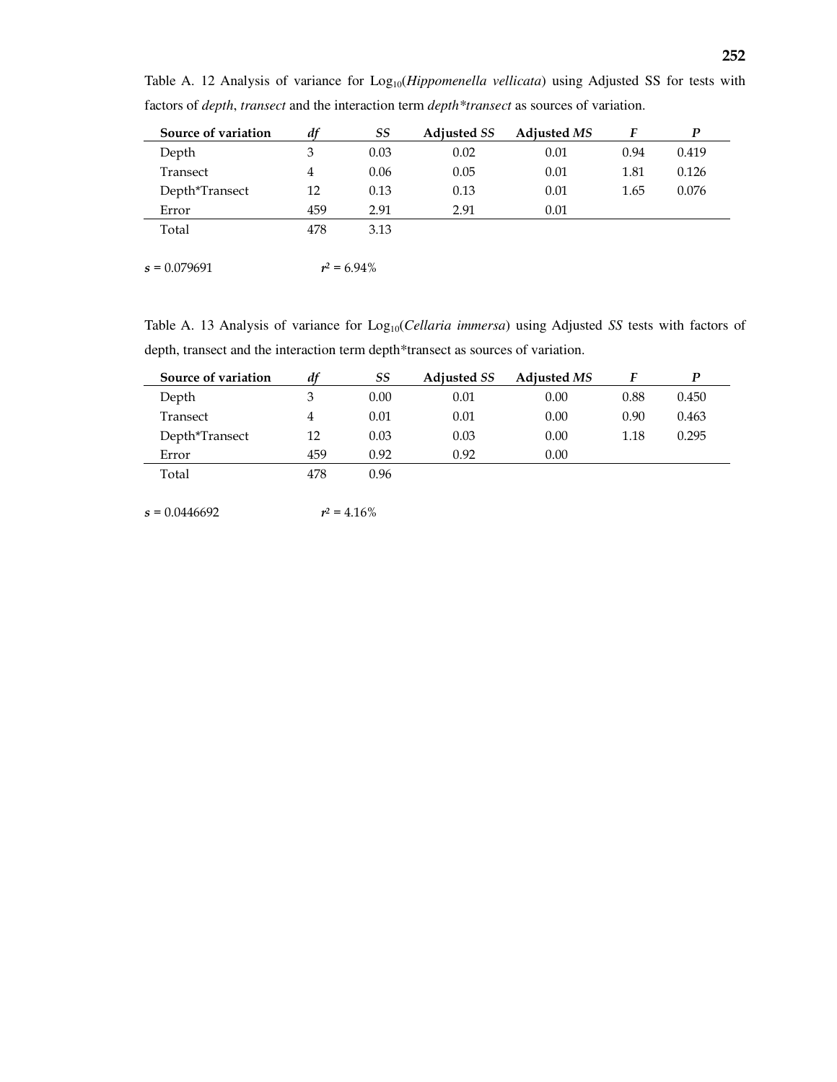| Source of variation | df  | SS   | <b>Adjusted SS</b> | Adjusted MS | F    | P     |
|---------------------|-----|------|--------------------|-------------|------|-------|
| Depth               | 3   | 0.03 | 0.02               | 0.01        | 0.94 | 0.419 |
| Transect            | 4   | 0.06 | 0.05               | 0.01        | 1.81 | 0.126 |
| Depth*Transect      | 12  | 0.13 | 0.13               | 0.01        | 1.65 | 0.076 |
| Error               | 459 | 2.91 | 2.91               | 0.01        |      |       |
| Total               | 478 | 3.13 |                    |             |      |       |
|                     |     |      |                    |             |      |       |

Table A. 12 Analysis of variance for Log<sub>10</sub>(*Hippomenella vellicata*) using Adjusted SS for tests with factors of *depth*, *transect* and the interaction term *depth\*transect* as sources of variation.

 $\sqrt{s} = 0.079691$  $r^2$  = 6.94%

Table A. 13 Analysis of variance for Log<sub>10</sub>(*Cellaria immersa*) using Adjusted *SS* tests with factors of depth, transect and the interaction term depth\*transect as sources of variation.

| Source of variation | df  | SS   | <b>Adjusted SS</b> | <b>Adiusted MS</b> |      | D     |
|---------------------|-----|------|--------------------|--------------------|------|-------|
| Depth               | 3   | 0.00 | 0.01               | 0.00               | 0.88 | 0.450 |
| Transect            | 4   | 0.01 | 0.01               | 0.00               | 0.90 | 0.463 |
| Depth*Transect      | 12  | 0.03 | 0.03               | 0.00               | 1.18 | 0.295 |
| Error               | 459 | 0.92 | 0.92               | 0.00               |      |       |
| Total               | 478 | 0.96 |                    |                    |      |       |

 $s = 0.0446692$  $r^2 = 4.16\%$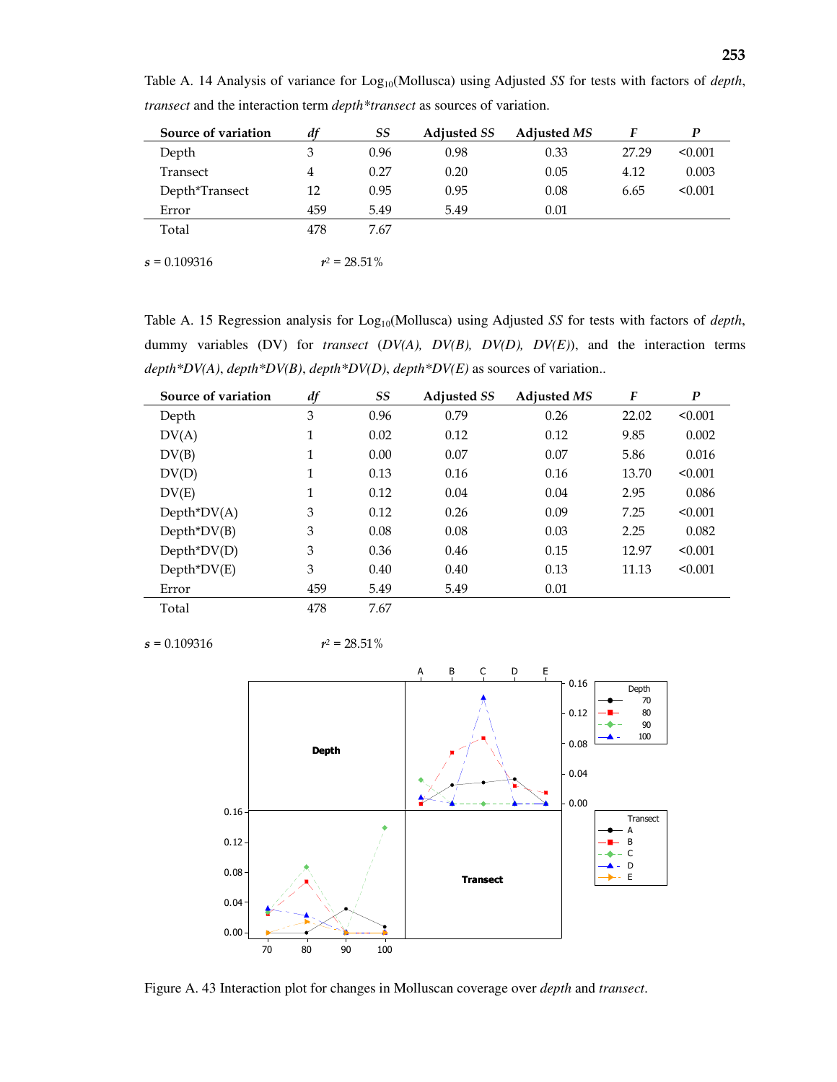| Source of variation | df  | SS              | <b>Adjusted SS</b> | <b>Adjusted MS</b> | F     | P       |
|---------------------|-----|-----------------|--------------------|--------------------|-------|---------|
| Depth               | 3   | 0.96            | 0.98               | 0.33               | 27.29 | < 0.001 |
| Transect            | 4   | 0.27            | 0.20               | 0.05               | 4.12  | 0.003   |
| Depth*Transect      | 12  | 0.95            | 0.95               | 0.08               | 6.65  | < 0.001 |
| Error               | 459 | 5.49            | 5.49               | 0.01               |       |         |
| Total               | 478 | 7.67            |                    |                    |       |         |
|                     |     |                 |                    |                    |       |         |
| $s = 0.109316$      |     | $r^2 = 28.51\%$ |                    |                    |       |         |

Table A. 14 Analysis of variance for Log<sub>10</sub>(Mollusca) using Adjusted *SS* for tests with factors of *depth*, *transect* and the interaction term *depth\*transect* as sources of variation.

Table A. 15 Regression analysis for Log<sub>10</sub>(Mollusca) using Adjusted *SS* for tests with factors of *depth*, dummy variables (DV) for *transect* (*DV(A), DV(B), DV(D), DV(E)*), and the interaction terms *depth\*DV(A)*, *depth\*DV(B)*, *depth\*DV(D)*, *depth\*DV(E)* as sources of variation..

| Source of variation | df  | SS   | <b>Adjusted SS</b> | <b>Adjusted MS</b> | F     | $\boldsymbol{P}$ |
|---------------------|-----|------|--------------------|--------------------|-------|------------------|
| Depth               | 3   | 0.96 | 0.79               | 0.26               | 22.02 | < 0.001          |
| DV(A)               | 1   | 0.02 | 0.12               | 0.12               | 9.85  | 0.002            |
| DV(B)               | 1   | 0.00 | 0.07               | 0.07               | 5.86  | 0.016            |
| DV(D)               | 1   | 0.13 | 0.16               | 0.16               | 13.70 | < 0.001          |
| DV(E)               | 1   | 0.12 | 0.04               | 0.04               | 2.95  | 0.086            |
| $Depth^*DV(A)$      | 3   | 0.12 | 0.26               | 0.09               | 7.25  | < 0.001          |
| $Depth^*DV(B)$      | 3   | 0.08 | 0.08               | 0.03               | 2.25  | 0.082            |
| $Depth^*DV(D)$      | 3   | 0.36 | 0.46               | 0.15               | 12.97 | < 0.001          |
| $Depth^*DV(E)$      | 3   | 0.40 | 0.40               | 0.13               | 11.13 | < 0.001          |
| Error               | 459 | 5.49 | 5.49               | 0.01               |       |                  |
| Total               | 478 | 7.67 |                    |                    |       |                  |

 $\sqrt{s} = 0.109316$ 

 $r^2 = 28.51\%$ 



Figure A. 43 Interaction plot for changes in Molluscan coverage over *depth* and *transect*.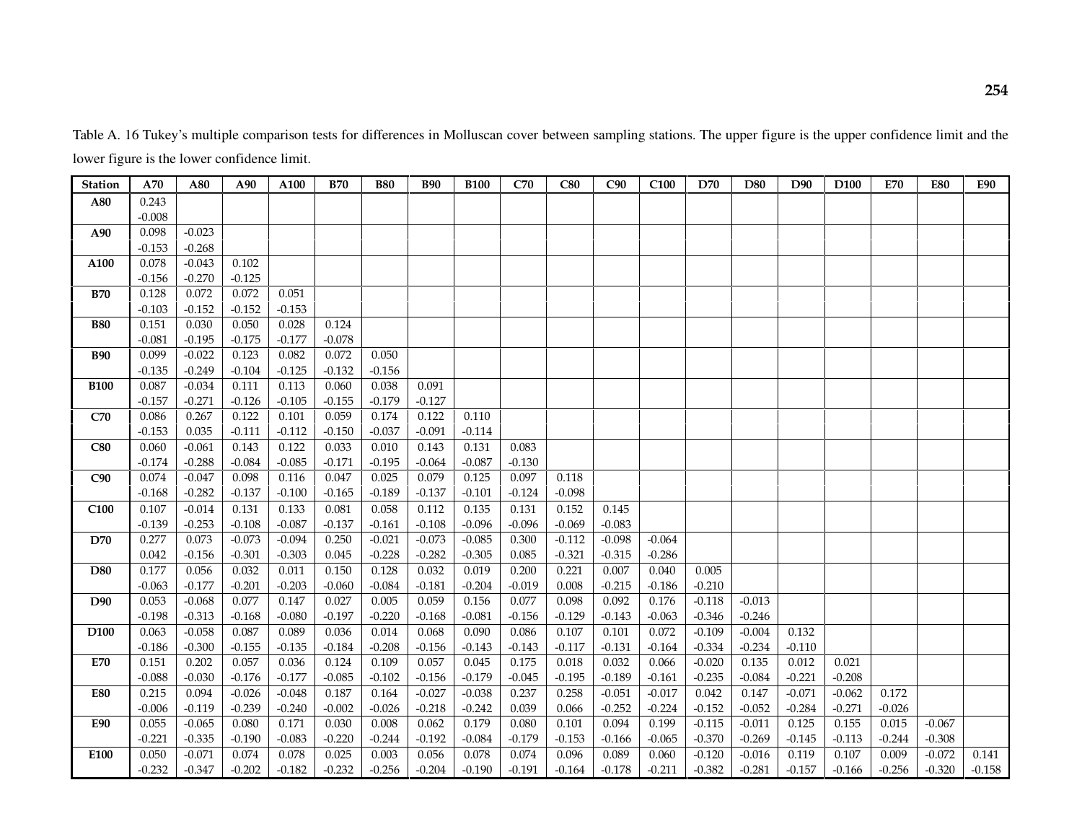Table A. 16 Tukey's multiple comparison tests for differences in Molluscan cover between sampling stations. The upper figure is the upper confidence limit and the lower figure is the lower confidence limit.

| <b>Station</b>   | A70      | A80      | A90      | A100     | <b>B70</b> | <b>B80</b> | <b>B90</b> | <b>B100</b> | C70      | C80      | C90      | C <sub>100</sub> | D70      | D80      | D90      | D <sub>100</sub> | <b>E70</b> | <b>E80</b> | <b>E90</b> |
|------------------|----------|----------|----------|----------|------------|------------|------------|-------------|----------|----------|----------|------------------|----------|----------|----------|------------------|------------|------------|------------|
| A80              | 0.243    |          |          |          |            |            |            |             |          |          |          |                  |          |          |          |                  |            |            |            |
|                  | $-0.008$ |          |          |          |            |            |            |             |          |          |          |                  |          |          |          |                  |            |            |            |
| A90              | 0.098    | $-0.023$ |          |          |            |            |            |             |          |          |          |                  |          |          |          |                  |            |            |            |
|                  | $-0.153$ | $-0.268$ |          |          |            |            |            |             |          |          |          |                  |          |          |          |                  |            |            |            |
| A100             | 0.078    | $-0.043$ | 0.102    |          |            |            |            |             |          |          |          |                  |          |          |          |                  |            |            |            |
|                  | $-0.156$ | $-0.270$ | $-0.125$ |          |            |            |            |             |          |          |          |                  |          |          |          |                  |            |            |            |
| <b>B70</b>       | 0.128    | 0.072    | 0.072    | 0.051    |            |            |            |             |          |          |          |                  |          |          |          |                  |            |            |            |
|                  | $-0.103$ | $-0.152$ | $-0.152$ | $-0.153$ |            |            |            |             |          |          |          |                  |          |          |          |                  |            |            |            |
| <b>B80</b>       | 0.151    | 0.030    | 0.050    | 0.028    | 0.124      |            |            |             |          |          |          |                  |          |          |          |                  |            |            |            |
|                  | $-0.081$ | $-0.195$ | $-0.175$ | $-0.177$ | $-0.078$   |            |            |             |          |          |          |                  |          |          |          |                  |            |            |            |
| <b>B90</b>       | 0.099    | $-0.022$ | 0.123    | 0.082    | 0.072      | 0.050      |            |             |          |          |          |                  |          |          |          |                  |            |            |            |
|                  | $-0.135$ | $-0.249$ | $-0.104$ | $-0.125$ | $-0.132$   | $-0.156$   |            |             |          |          |          |                  |          |          |          |                  |            |            |            |
| <b>B100</b>      | 0.087    | $-0.034$ | 0.111    | 0.113    | 0.060      | 0.038      | 0.091      |             |          |          |          |                  |          |          |          |                  |            |            |            |
|                  | $-0.157$ | $-0.271$ | $-0.126$ | $-0.105$ | $-0.155$   | $-0.179$   | $-0.127$   |             |          |          |          |                  |          |          |          |                  |            |            |            |
| C70              | 0.086    | 0.267    | 0.122    | 0.101    | 0.059      | 0.174      | 0.122      | 0.110       |          |          |          |                  |          |          |          |                  |            |            |            |
|                  | $-0.153$ | 0.035    | $-0.111$ | $-0.112$ | $-0.150$   | $-0.037$   | $-0.091$   | $-0.114$    |          |          |          |                  |          |          |          |                  |            |            |            |
| C80              | 0.060    | $-0.061$ | 0.143    | 0.122    | 0.033      | 0.010      | 0.143      | 0.131       | 0.083    |          |          |                  |          |          |          |                  |            |            |            |
|                  | $-0.174$ | $-0.288$ | $-0.084$ | $-0.085$ | $-0.171$   | $-0.195$   | $-0.064$   | $-0.087$    | $-0.130$ |          |          |                  |          |          |          |                  |            |            |            |
| C90              | 0.074    | $-0.047$ | 0.098    | 0.116    | 0.047      | 0.025      | 0.079      | 0.125       | 0.097    | 0.118    |          |                  |          |          |          |                  |            |            |            |
|                  | $-0.168$ | $-0.282$ | $-0.137$ | $-0.100$ | $-0.165$   | $-0.189$   | $-0.137$   | $-0.101$    | $-0.124$ | $-0.098$ |          |                  |          |          |          |                  |            |            |            |
| C <sub>100</sub> | 0.107    | $-0.014$ | 0.131    | 0.133    | 0.081      | 0.058      | 0.112      | 0.135       | 0.131    | 0.152    | 0.145    |                  |          |          |          |                  |            |            |            |
|                  | $-0.139$ | $-0.253$ | $-0.108$ | $-0.087$ | $-0.137$   | $-0.161$   | $-0.108$   | $-0.096$    | $-0.096$ | $-0.069$ | $-0.083$ |                  |          |          |          |                  |            |            |            |
| <b>D70</b>       | 0.277    | 0.073    | $-0.073$ | $-0.094$ | 0.250      | $-0.021$   | $-0.073$   | $-0.085$    | 0.300    | $-0.112$ | $-0.098$ | $-0.064$         |          |          |          |                  |            |            |            |
|                  | 0.042    | $-0.156$ | $-0.301$ | $-0.303$ | 0.045      | $-0.228$   | $-0.282$   | $-0.305$    | 0.085    | $-0.321$ | $-0.315$ | $-0.286$         |          |          |          |                  |            |            |            |
| <b>D80</b>       | 0.177    | 0.056    | 0.032    | 0.011    | 0.150      | 0.128      | 0.032      | 0.019       | 0.200    | 0.221    | 0.007    | 0.040            | 0.005    |          |          |                  |            |            |            |
|                  | $-0.063$ | $-0.177$ | $-0.201$ | $-0.203$ | $-0.060$   | $-0.084$   | $-0.181$   | $-0.204$    | $-0.019$ | 0.008    | $-0.215$ | $-0.186$         | $-0.210$ |          |          |                  |            |            |            |
| D90              | 0.053    | $-0.068$ | 0.077    | 0.147    | 0.027      | 0.005      | 0.059      | 0.156       | 0.077    | 0.098    | 0.092    | 0.176            | $-0.118$ | $-0.013$ |          |                  |            |            |            |
|                  | $-0.198$ | $-0.313$ | $-0.168$ | $-0.080$ | $-0.197$   | $-0.220$   | $-0.168$   | $-0.081$    | $-0.156$ | $-0.129$ | $-0.143$ | $-0.063$         | $-0.346$ | $-0.246$ |          |                  |            |            |            |
| D <sub>100</sub> | 0.063    | $-0.058$ | 0.087    | 0.089    | 0.036      | 0.014      | 0.068      | 0.090       | 0.086    | 0.107    | 0.101    | 0.072            | $-0.109$ | $-0.004$ | 0.132    |                  |            |            |            |
|                  | $-0.186$ | $-0.300$ | $-0.155$ | $-0.135$ | $-0.184$   | $-0.208$   | $-0.156$   | $-0.143$    | $-0.143$ | $-0.117$ | $-0.131$ | $-0.164$         | $-0.334$ | $-0.234$ | $-0.110$ |                  |            |            |            |
| <b>E70</b>       | 0.151    | 0.202    | 0.057    | 0.036    | 0.124      | 0.109      | 0.057      | 0.045       | 0.175    | 0.018    | 0.032    | 0.066            | $-0.020$ | 0.135    | 0.012    | 0.021            |            |            |            |
|                  | $-0.088$ | $-0.030$ | $-0.176$ | $-0.177$ | $-0.085$   | $-0.102$   | $-0.156$   | $-0.179$    | $-0.045$ | $-0.195$ | $-0.189$ | $-0.161$         | $-0.235$ | $-0.084$ | $-0.221$ | $-0.208$         |            |            |            |
| <b>E80</b>       | 0.215    | 0.094    | $-0.026$ | $-0.048$ | 0.187      | 0.164      | $-0.027$   | $-0.038$    | 0.237    | 0.258    | $-0.051$ | $-0.017$         | 0.042    | 0.147    | $-0.071$ | $-0.062$         | 0.172      |            |            |
|                  | $-0.006$ | $-0.119$ | $-0.239$ | $-0.240$ | $-0.002$   | $-0.026$   | $-0.218$   | $-0.242$    | 0.039    | 0.066    | $-0.252$ | $-0.224$         | $-0.152$ | $-0.052$ | $-0.284$ | $-0.271$         | $-0.026$   |            |            |
| <b>E90</b>       | 0.055    | $-0.065$ | 0.080    | 0.171    | 0.030      | 0.008      | 0.062      | 0.179       | 0.080    | 0.101    | 0.094    | 0.199            | $-0.115$ | $-0.011$ | 0.125    | 0.155            | 0.015      | $-0.067$   |            |
|                  | $-0.221$ | $-0.335$ | $-0.190$ | $-0.083$ | $-0.220$   | $-0.244$   | $-0.192$   | $-0.084$    | $-0.179$ | $-0.153$ | $-0.166$ | $-0.065$         | $-0.370$ | $-0.269$ | $-0.145$ | $-0.113$         | $-0.244$   | $-0.308$   |            |
| E100             | 0.050    | $-0.071$ | 0.074    | 0.078    | 0.025      | 0.003      | 0.056      | 0.078       | 0.074    | 0.096    | 0.089    | 0.060            | $-0.120$ | $-0.016$ | 0.119    | 0.107            | 0.009      | $-0.072$   | 0.141      |
|                  | $-0.232$ | $-0.347$ | $-0.202$ | $-0.182$ | $-0.232$   | $-0.256$   | $-0.204$   | $-0.190$    | $-0.191$ | $-0.164$ | $-0.178$ | $-0.211$         | $-0.382$ | $-0.281$ | $-0.157$ | $-0.166$         | $-0.256$   | $-0.320$   | $-0.158$   |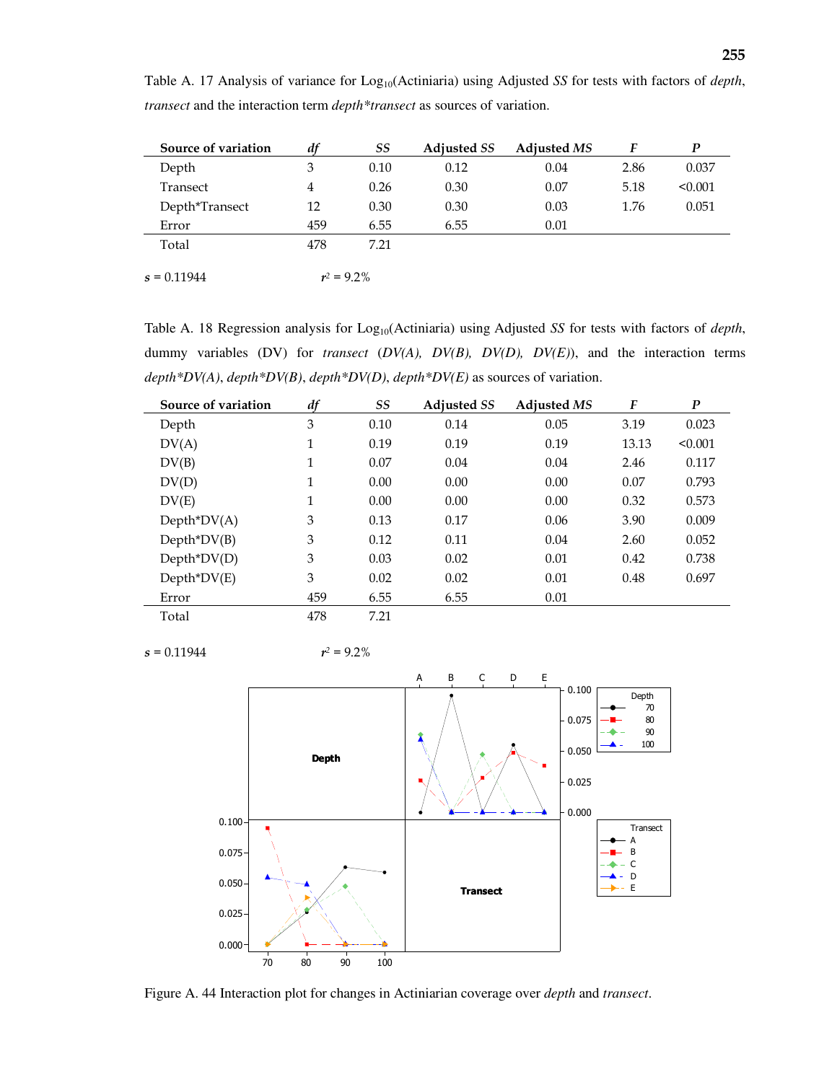| Source of variation | df            | SS   | <b>Adjusted SS</b> | <b>Adjusted MS</b> | F    | P       |
|---------------------|---------------|------|--------------------|--------------------|------|---------|
| Depth               | 3             | 0.10 | 0.12               | 0.04               | 2.86 | 0.037   |
| Transect            | 4             | 0.26 | 0.30               | 0.07               | 5.18 | < 0.001 |
| Depth*Transect      | 12            | 0.30 | 0.30               | 0.03               | 1.76 | 0.051   |
| Error               | 459           | 6.55 | 6.55               | 0.01               |      |         |
| Total               | 478           | 7.21 |                    |                    |      |         |
|                     |               |      |                    |                    |      |         |
| $s = 0.11944$       | $r^2 = 9.2\%$ |      |                    |                    |      |         |

Table A. 17 Analysis of variance for Log<sub>10</sub>(Actiniaria) using Adjusted *SS* for tests with factors of *depth*, *transect* and the interaction term *depth\*transect* as sources of variation.

Table A. 18 Regression analysis for Log<sub>10</sub>(Actiniaria) using Adjusted *SS* for tests with factors of *depth*, dummy variables (DV) for *transect* (*DV(A), DV(B), DV(D), DV(E)*), and the interaction terms *depth\*DV(A)*, *depth\*DV(B)*, *depth\*DV(D)*, *depth\*DV(E)* as sources of variation.

| Source of variation | df  | SS   | <b>Adjusted SS</b> | <b>Adjusted MS</b> | F     | $\boldsymbol{P}$ |
|---------------------|-----|------|--------------------|--------------------|-------|------------------|
| Depth               | 3   | 0.10 | 0.14               | 0.05               | 3.19  | 0.023            |
| DV(A)               | 1   | 0.19 | 0.19               | 0.19               | 13.13 | < 0.001          |
| DV(B)               | 1   | 0.07 | 0.04               | 0.04               | 2.46  | 0.117            |
| DV(D)               | 1   | 0.00 | 0.00               | 0.00               | 0.07  | 0.793            |
| DV(E)               | 1   | 0.00 | 0.00               | 0.00               | 0.32  | 0.573            |
| $Depth^*DV(A)$      | 3   | 0.13 | 0.17               | 0.06               | 3.90  | 0.009            |
| $Depth^*DV(B)$      | 3   | 0.12 | 0.11               | 0.04               | 2.60  | 0.052            |
| $Depth^*DV(D)$      | 3   | 0.03 | 0.02               | 0.01               | 0.42  | 0.738            |
| $Depth^*DV(E)$      | 3   | 0.02 | 0.02               | 0.01               | 0.48  | 0.697            |
| Error               | 459 | 6.55 | 6.55               | 0.01               |       |                  |
| Total               | 478 | 7.21 |                    |                    |       |                  |

 $s = 0.11944$   $r^2 = 9.2\%$ 



Figure A. 44 Interaction plot for changes in Actiniarian coverage over *depth* and *transect*.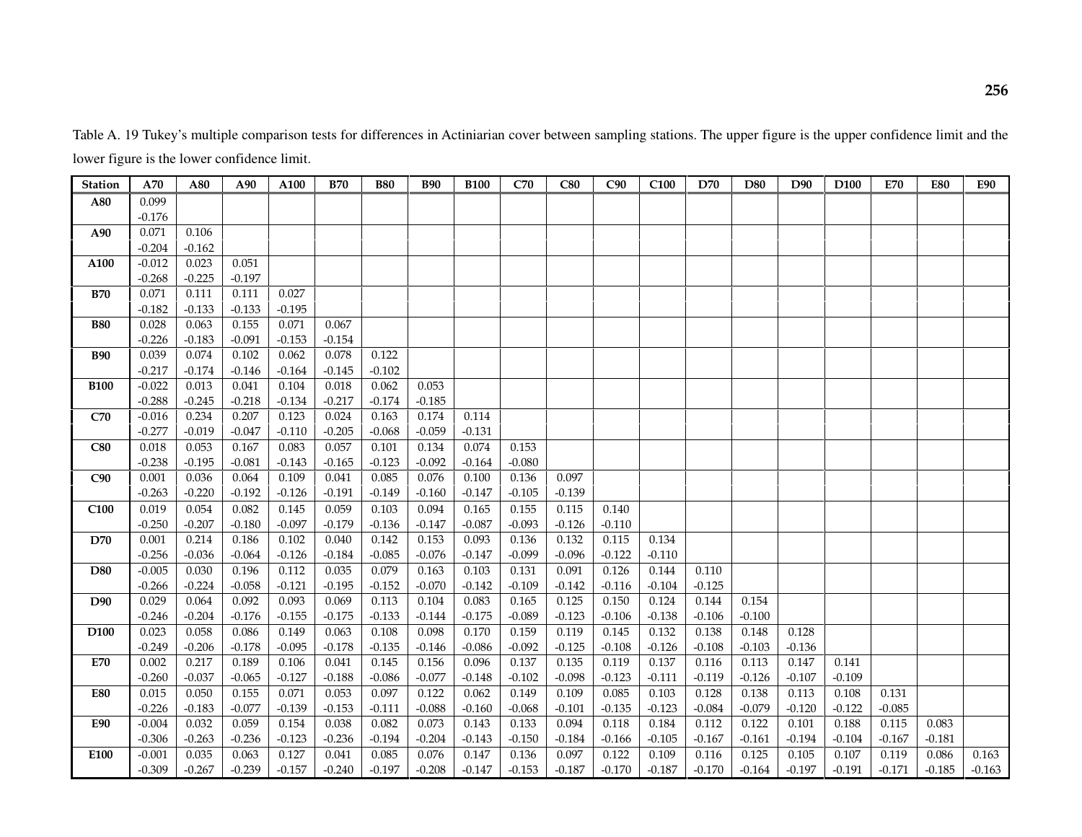Table A. 19 Tukey's multiple comparison tests for differences in Actiniarian cover between sampling stations. The upper figure is the upper confidence limit and the lower figure is the lower confidence limit.

| <b>Station</b>   | A70      | A80      | A90      | A100     | <b>B70</b> | <b>B80</b> | <b>B90</b> | <b>B100</b> | C70      | C80      | C90      | C <sub>100</sub> | D70      | D80      | D <sub>90</sub> | D <sub>100</sub> | <b>E70</b> | <b>E80</b> | <b>E90</b> |
|------------------|----------|----------|----------|----------|------------|------------|------------|-------------|----------|----------|----------|------------------|----------|----------|-----------------|------------------|------------|------------|------------|
| A80              | 0.099    |          |          |          |            |            |            |             |          |          |          |                  |          |          |                 |                  |            |            |            |
|                  | $-0.176$ |          |          |          |            |            |            |             |          |          |          |                  |          |          |                 |                  |            |            |            |
| A90              | 0.071    | 0.106    |          |          |            |            |            |             |          |          |          |                  |          |          |                 |                  |            |            |            |
|                  | $-0.204$ | $-0.162$ |          |          |            |            |            |             |          |          |          |                  |          |          |                 |                  |            |            |            |
| A100             | $-0.012$ | 0.023    | 0.051    |          |            |            |            |             |          |          |          |                  |          |          |                 |                  |            |            |            |
|                  | $-0.268$ | $-0.225$ | $-0.197$ |          |            |            |            |             |          |          |          |                  |          |          |                 |                  |            |            |            |
| <b>B70</b>       | 0.071    | 0.111    | 0.111    | 0.027    |            |            |            |             |          |          |          |                  |          |          |                 |                  |            |            |            |
|                  | $-0.182$ | $-0.133$ | $-0.133$ | $-0.195$ |            |            |            |             |          |          |          |                  |          |          |                 |                  |            |            |            |
| <b>B80</b>       | 0.028    | 0.063    | 0.155    | 0.071    | 0.067      |            |            |             |          |          |          |                  |          |          |                 |                  |            |            |            |
|                  | $-0.226$ | $-0.183$ | $-0.091$ | $-0.153$ | $-0.154$   |            |            |             |          |          |          |                  |          |          |                 |                  |            |            |            |
| <b>B90</b>       | 0.039    | 0.074    | 0.102    | 0.062    | 0.078      | 0.122      |            |             |          |          |          |                  |          |          |                 |                  |            |            |            |
|                  | $-0.217$ | $-0.174$ | $-0.146$ | $-0.164$ | $-0.145$   | $-0.102$   |            |             |          |          |          |                  |          |          |                 |                  |            |            |            |
| <b>B100</b>      | $-0.022$ | 0.013    | 0.041    | 0.104    | 0.018      | 0.062      | 0.053      |             |          |          |          |                  |          |          |                 |                  |            |            |            |
|                  | $-0.288$ | $-0.245$ | $-0.218$ | $-0.134$ | $-0.217$   | $-0.174$   | $-0.185$   |             |          |          |          |                  |          |          |                 |                  |            |            |            |
| C70              | $-0.016$ | 0.234    | 0.207    | 0.123    | 0.024      | 0.163      | 0.174      | 0.114       |          |          |          |                  |          |          |                 |                  |            |            |            |
|                  | $-0.277$ | $-0.019$ | $-0.047$ | $-0.110$ | $-0.205$   | $-0.068$   | $-0.059$   | $-0.131$    |          |          |          |                  |          |          |                 |                  |            |            |            |
| C80              | 0.018    | 0.053    | 0.167    | 0.083    | 0.057      | 0.101      | 0.134      | 0.074       | 0.153    |          |          |                  |          |          |                 |                  |            |            |            |
|                  | $-0.238$ | $-0.195$ | $-0.081$ | $-0.143$ | $-0.165$   | $-0.123$   | $-0.092$   | $-0.164$    | $-0.080$ |          |          |                  |          |          |                 |                  |            |            |            |
| C90              | 0.001    | 0.036    | 0.064    | 0.109    | 0.041      | 0.085      | 0.076      | 0.100       | 0.136    | 0.097    |          |                  |          |          |                 |                  |            |            |            |
|                  | $-0.263$ | $-0.220$ | $-0.192$ | $-0.126$ | $-0.191$   | $-0.149$   | $-0.160$   | $-0.147$    | $-0.105$ | $-0.139$ |          |                  |          |          |                 |                  |            |            |            |
| C <sub>100</sub> | 0.019    | 0.054    | 0.082    | 0.145    | 0.059      | 0.103      | 0.094      | 0.165       | 0.155    | 0.115    | 0.140    |                  |          |          |                 |                  |            |            |            |
|                  | $-0.250$ | $-0.207$ | $-0.180$ | $-0.097$ | $-0.179$   | $-0.136$   | $-0.147$   | $-0.087$    | $-0.093$ | $-0.126$ | $-0.110$ |                  |          |          |                 |                  |            |            |            |
| D70              | 0.001    | 0.214    | 0.186    | 0.102    | 0.040      | 0.142      | 0.153      | 0.093       | 0.136    | 0.132    | 0.115    | 0.134            |          |          |                 |                  |            |            |            |
|                  | $-0.256$ | $-0.036$ | $-0.064$ | $-0.126$ | $-0.184$   | $-0.085$   | $-0.076$   | $-0.147$    | $-0.099$ | $-0.096$ | $-0.122$ | $-0.110$         |          |          |                 |                  |            |            |            |
| <b>D80</b>       | $-0.005$ | 0.030    | 0.196    | 0.112    | 0.035      | 0.079      | 0.163      | 0.103       | 0.131    | 0.091    | 0.126    | 0.144            | 0.110    |          |                 |                  |            |            |            |
|                  | $-0.266$ | $-0.224$ | $-0.058$ | $-0.121$ | $-0.195$   | $-0.152$   | $-0.070$   | $-0.142$    | $-0.109$ | $-0.142$ | $-0.116$ | $-0.104$         | $-0.125$ |          |                 |                  |            |            |            |
| D90              | 0.029    | 0.064    | 0.092    | 0.093    | 0.069      | 0.113      | 0.104      | 0.083       | 0.165    | 0.125    | 0.150    | 0.124            | 0.144    | 0.154    |                 |                  |            |            |            |
|                  | $-0.246$ | $-0.204$ | $-0.176$ | $-0.155$ | $-0.175$   | $-0.133$   | $-0.144$   | $-0.175$    | $-0.089$ | $-0.123$ | $-0.106$ | $-0.138$         | $-0.106$ | $-0.100$ |                 |                  |            |            |            |
| D <sub>100</sub> | 0.023    | 0.058    | 0.086    | 0.149    | 0.063      | 0.108      | 0.098      | 0.170       | 0.159    | 0.119    | 0.145    | 0.132            | 0.138    | 0.148    | 0.128           |                  |            |            |            |
|                  | $-0.249$ | $-0.206$ | $-0.178$ | $-0.095$ | $-0.178$   | $-0.135$   | $-0.146$   | $-0.086$    | $-0.092$ | $-0.125$ | $-0.108$ | $-0.126$         | $-0.108$ | $-0.103$ | $-0.136$        |                  |            |            |            |
| <b>E70</b>       | 0.002    | 0.217    | 0.189    | 0.106    | 0.041      | 0.145      | 0.156      | 0.096       | 0.137    | 0.135    | 0.119    | 0.137            | 0.116    | 0.113    | 0.147           | 0.141            |            |            |            |
|                  | $-0.260$ | $-0.037$ | $-0.065$ | $-0.127$ | $-0.188$   | $-0.086$   | $-0.077$   | $-0.148$    | $-0.102$ | $-0.098$ | $-0.123$ | $-0.111$         | $-0.119$ | $-0.126$ | $-0.107$        | $-0.109$         |            |            |            |
| <b>E80</b>       | 0.015    | 0.050    | 0.155    | 0.071    | 0.053      | 0.097      | 0.122      | 0.062       | 0.149    | 0.109    | 0.085    | 0.103            | 0.128    | 0.138    | 0.113           | 0.108            | 0.131      |            |            |
|                  | $-0.226$ | $-0.183$ | $-0.077$ | $-0.139$ | $-0.153$   | $-0.111$   | $-0.088$   | $-0.160$    | $-0.068$ | $-0.101$ | $-0.135$ | $-0.123$         | $-0.084$ | $-0.079$ | $-0.120$        | $-0.122$         | $-0.085$   |            |            |
| E90              | $-0.004$ | 0.032    | 0.059    | 0.154    | 0.038      | 0.082      | 0.073      | 0.143       | 0.133    | 0.094    | 0.118    | 0.184            | 0.112    | 0.122    | 0.101           | 0.188            | 0.115      | 0.083      |            |
|                  | $-0.306$ | $-0.263$ | $-0.236$ | $-0.123$ | $-0.236$   | $-0.194$   | $-0.204$   | $-0.143$    | $-0.150$ | $-0.184$ | $-0.166$ | $-0.105$         | $-0.167$ | $-0.161$ | $-0.194$        | $-0.104$         | $-0.167$   | $-0.181$   |            |
| E100             | $-0.001$ | 0.035    | 0.063    | 0.127    | 0.041      | 0.085      | 0.076      | 0.147       | 0.136    | 0.097    | 0.122    | 0.109            | 0.116    | 0.125    | 0.105           | 0.107            | 0.119      | 0.086      | 0.163      |
|                  | $-0.309$ | $-0.267$ | $-0.239$ | $-0.157$ | $-0.240$   | $-0.197$   | $-0.208$   | $-0.147$    | $-0.153$ | $-0.187$ | $-0.170$ | $-0.187$         | $-0.170$ | $-0.164$ | $-0.197$        | $-0.191$         | $-0.171$   | $-0.185$   | $-0.163$   |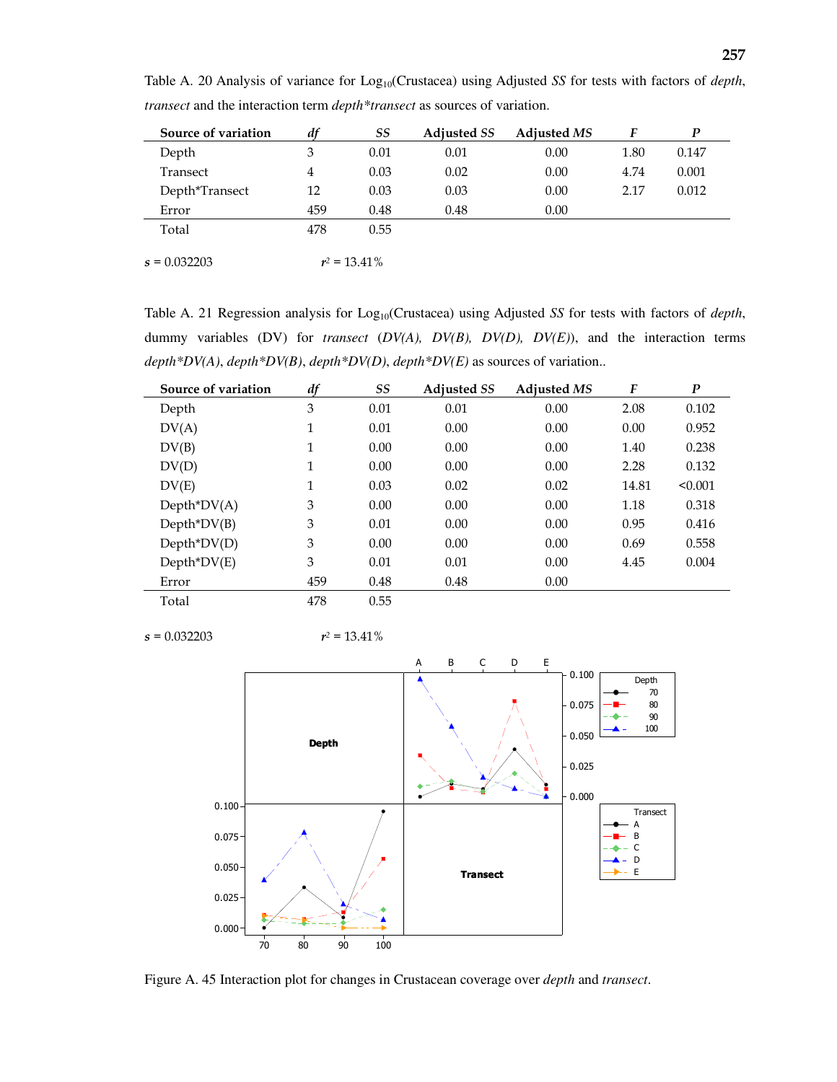| Source of variation | df  | SS              | <b>Adjusted SS</b> | <b>Adjusted MS</b> | F    | P     |
|---------------------|-----|-----------------|--------------------|--------------------|------|-------|
| Depth               | 3   | 0.01            | 0.01               | 0.00               | 1.80 | 0.147 |
| Transect            | 4   | 0.03            | 0.02               | 0.00               | 4.74 | 0.001 |
| Depth*Transect      | 12  | 0.03            | 0.03               | 0.00               | 2.17 | 0.012 |
| Error               | 459 | 0.48            | 0.48               | 0.00               |      |       |
| Total               | 478 | 0.55            |                    |                    |      |       |
|                     |     |                 |                    |                    |      |       |
| $s = 0.032203$      |     | $r^2 = 13.41\%$ |                    |                    |      |       |

Table A. 20 Analysis of variance for Log<sub>10</sub>(Crustacea) using Adjusted *SS* for tests with factors of *depth*, *transect* and the interaction term *depth\*transect* as sources of variation.

Table A. 21 Regression analysis for Log<sub>10</sub>(Crustacea) using Adjusted *SS* for tests with factors of *depth*, dummy variables (DV) for *transect* (*DV(A), DV(B), DV(D), DV(E)*), and the interaction terms *depth\*DV(A)*, *depth\*DV(B)*, *depth\*DV(D)*, *depth\*DV(E)* as sources of variation..

| Source of variation | df  | SS   | <b>Adjusted SS</b> | <b>Adjusted MS</b> | F     | $\boldsymbol{P}$ |
|---------------------|-----|------|--------------------|--------------------|-------|------------------|
| Depth               | 3   | 0.01 | 0.01               | 0.00               | 2.08  | 0.102            |
| DV(A)               | 1   | 0.01 | 0.00               | 0.00               | 0.00  | 0.952            |
| DV(B)               | 1   | 0.00 | 0.00               | 0.00               | 1.40  | 0.238            |
| DV(D)               | 1   | 0.00 | 0.00               | 0.00               | 2.28  | 0.132            |
| DV(E)               | 1   | 0.03 | 0.02               | 0.02               | 14.81 | < 0.001          |
| $Depth^*DV(A)$      | 3   | 0.00 | 0.00               | 0.00               | 1.18  | 0.318            |
| $Depth^*DV(B)$      | 3   | 0.01 | 0.00               | 0.00               | 0.95  | 0.416            |
| $Depth^*DV(D)$      | 3   | 0.00 | 0.00               | 0.00               | 0.69  | 0.558            |
| $Depth^*DV(E)$      | 3   | 0.01 | 0.01               | 0.00               | 4.45  | 0.004            |
| Error               | 459 | 0.48 | 0.48               | 0.00               |       |                  |
| Total               | 478 | 0.55 |                    |                    |       |                  |

 $s = 0.032203$   $r^2 = 13.41\%$ 



Figure A. 45 Interaction plot for changes in Crustacean coverage over *depth* and *transect*.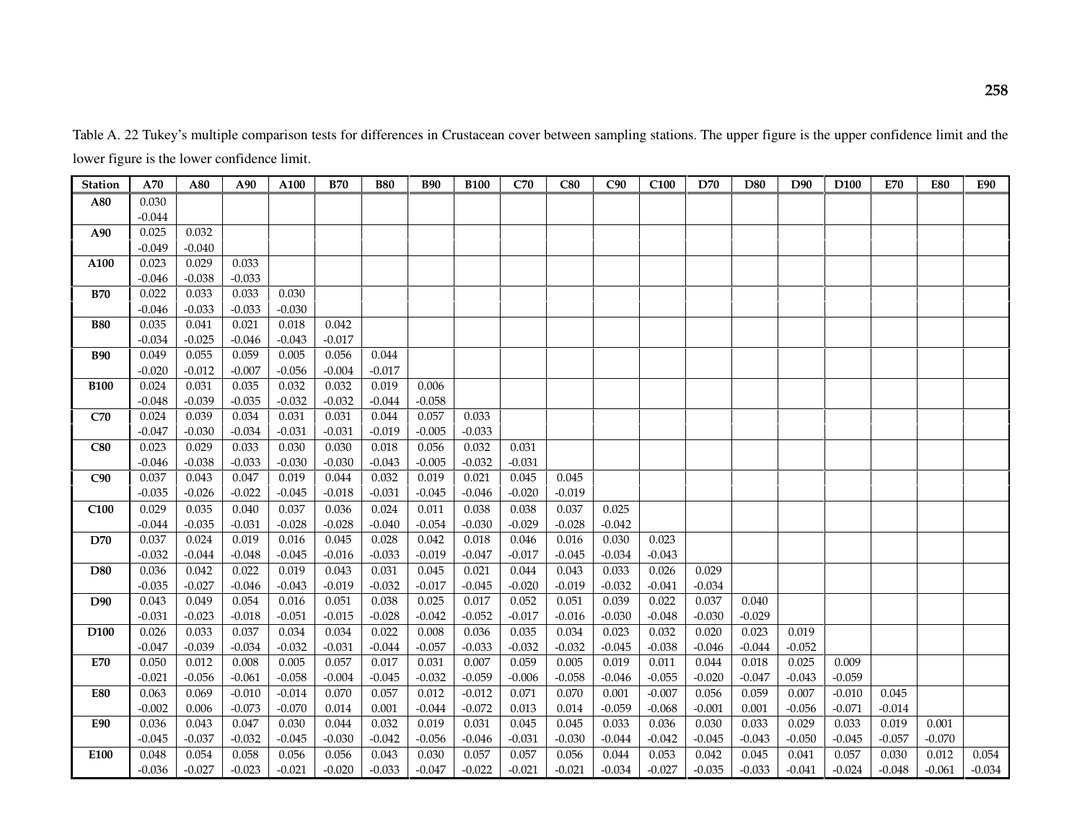Table A. 22 Tukey's multiple comparison tests for differences in Crustacean cover between sampling stations. The upper figure is the upper confidence limit and the lower figure is the lower confidence limit.

| <b>Station</b>   | A70      | A80      | A90      | A100     | <b>B70</b> | <b>B80</b> | <b>B90</b> | <b>B100</b> | C70      | C80      | C90      | C <sub>100</sub> | D70      | D80      | D90      | D <sub>100</sub> | E70      | <b>E80</b> | <b>E90</b> |
|------------------|----------|----------|----------|----------|------------|------------|------------|-------------|----------|----------|----------|------------------|----------|----------|----------|------------------|----------|------------|------------|
| A80              | 0.030    |          |          |          |            |            |            |             |          |          |          |                  |          |          |          |                  |          |            |            |
|                  | $-0.044$ |          |          |          |            |            |            |             |          |          |          |                  |          |          |          |                  |          |            |            |
| A90              | 0.025    | 0.032    |          |          |            |            |            |             |          |          |          |                  |          |          |          |                  |          |            |            |
|                  | $-0.049$ | $-0.040$ |          |          |            |            |            |             |          |          |          |                  |          |          |          |                  |          |            |            |
| A100             | 0.023    | 0.029    | 0.033    |          |            |            |            |             |          |          |          |                  |          |          |          |                  |          |            |            |
|                  | $-0.046$ | $-0.038$ | $-0.033$ |          |            |            |            |             |          |          |          |                  |          |          |          |                  |          |            |            |
| <b>B70</b>       | 0.022    | 0.033    | 0.033    | 0.030    |            |            |            |             |          |          |          |                  |          |          |          |                  |          |            |            |
|                  | $-0.046$ | $-0.033$ | $-0.033$ | $-0.030$ |            |            |            |             |          |          |          |                  |          |          |          |                  |          |            |            |
| <b>B80</b>       | 0.035    | 0.041    | 0.021    | 0.018    | 0.042      |            |            |             |          |          |          |                  |          |          |          |                  |          |            |            |
|                  | $-0.034$ | $-0.025$ | $-0.046$ | $-0.043$ | $-0.017$   |            |            |             |          |          |          |                  |          |          |          |                  |          |            |            |
| <b>B90</b>       | 0.049    | 0.055    | 0.059    | 0.005    | 0.056      | 0.044      |            |             |          |          |          |                  |          |          |          |                  |          |            |            |
|                  | $-0.020$ | $-0.012$ | $-0.007$ | $-0.056$ | $-0.004$   | $-0.017$   |            |             |          |          |          |                  |          |          |          |                  |          |            |            |
| <b>B100</b>      | 0.024    | 0.031    | 0.035    | 0.032    | 0.032      | 0.019      | 0.006      |             |          |          |          |                  |          |          |          |                  |          |            |            |
|                  | $-0.048$ | $-0.039$ | $-0.035$ | $-0.032$ | $-0.032$   | $-0.044$   | $-0.058$   |             |          |          |          |                  |          |          |          |                  |          |            |            |
| C70              | 0.024    | 0.039    | 0.034    | 0.031    | 0.031      | 0.044      | 0.057      | 0.033       |          |          |          |                  |          |          |          |                  |          |            |            |
|                  | $-0.047$ | $-0.030$ | $-0.034$ | $-0.031$ | $-0.031$   | $-0.019$   | $-0.005$   | $-0.033$    |          |          |          |                  |          |          |          |                  |          |            |            |
| C80              | 0.023    | 0.029    | 0.033    | 0.030    | 0.030      | 0.018      | 0.056      | 0.032       | 0.031    |          |          |                  |          |          |          |                  |          |            |            |
|                  | $-0.046$ | $-0.038$ | $-0.033$ | $-0.030$ | $-0.030$   | $-0.043$   | $-0.005$   | $-0.032$    | $-0.031$ |          |          |                  |          |          |          |                  |          |            |            |
| C90              | 0.037    | 0.043    | 0.047    | 0.019    | 0.044      | 0.032      | 0.019      | 0.021       | 0.045    | 0.045    |          |                  |          |          |          |                  |          |            |            |
|                  | $-0.035$ | $-0.026$ | $-0.022$ | $-0.045$ | $-0.018$   | $-0.031$   | $-0.045$   | $-0.046$    | $-0.020$ | $-0.019$ |          |                  |          |          |          |                  |          |            |            |
| C <sub>100</sub> | 0.029    | 0.035    | 0.040    | 0.037    | 0.036      | 0.024      | 0.011      | 0.038       | 0.038    | 0.037    | 0.025    |                  |          |          |          |                  |          |            |            |
|                  | $-0.044$ | $-0.035$ | $-0.031$ | $-0.028$ | $-0.028$   | $-0.040$   | $-0.054$   | $-0.030$    | $-0.029$ | $-0.028$ | $-0.042$ |                  |          |          |          |                  |          |            |            |
| D70              | 0.037    | 0.024    | 0.019    | 0.016    | 0.045      | 0.028      | 0.042      | 0.018       | 0.046    | 0.016    | 0.030    | 0.023            |          |          |          |                  |          |            |            |
|                  | $-0.032$ | $-0.044$ | $-0.048$ | $-0.045$ | $-0.016$   | $-0.033$   | $-0.019$   | $-0.047$    | $-0.017$ | $-0.045$ | $-0.034$ | $-0.043$         |          |          |          |                  |          |            |            |
| D80              | 0.036    | 0.042    | 0.022    | 0.019    | 0.043      | 0.031      | 0.045      | 0.021       | 0.044    | 0.043    | 0.033    | 0.026            | 0.029    |          |          |                  |          |            |            |
|                  | $-0.035$ | $-0.027$ | $-0.046$ | $-0.043$ | $-0.019$   | $-0.032$   | $-0.017$   | $-0.045$    | $-0.020$ | $-0.019$ | $-0.032$ | $-0.041$         | $-0.034$ |          |          |                  |          |            |            |
| D90              | 0.043    | 0.049    | 0.054    | 0.016    | 0.051      | 0.038      | 0.025      | 0.017       | 0.052    | 0.051    | 0.039    | 0.022            | 0.037    | 0.040    |          |                  |          |            |            |
|                  | $-0.031$ | $-0.023$ | $-0.018$ | $-0.051$ | $-0.015$   | $-0.028$   | $-0.042$   | $-0.052$    | $-0.017$ | $-0.016$ | $-0.030$ | $-0.048$         | $-0.030$ | $-0.029$ |          |                  |          |            |            |
| D <sub>100</sub> | 0.026    | 0.033    | 0.037    | 0.034    | 0.034      | 0.022      | 0.008      | 0.036       | 0.035    | 0.034    | 0.023    | 0.032            | 0.020    | 0.023    | 0.019    |                  |          |            |            |
|                  | $-0.047$ | $-0.039$ | $-0.034$ | $-0.032$ | $-0.031$   | $-0.044$   | $-0.057$   | $-0.033$    | $-0.032$ | $-0.032$ | $-0.045$ | $-0.038$         | $-0.046$ | $-0.044$ | $-0.052$ |                  |          |            |            |
| <b>E70</b>       | 0.050    | 0.012    | 0.008    | 0.005    | 0.057      | 0.017      | 0.031      | 0.007       | 0.059    | 0.005    | 0.019    | 0.011            | 0.044    | 0.018    | 0.025    | 0.009            |          |            |            |
|                  | $-0.021$ | $-0.056$ | $-0.061$ | $-0.058$ | $-0.004$   | $-0.045$   | $-0.032$   | $-0.059$    | $-0.006$ | $-0.058$ | $-0.046$ | $-0.055$         | $-0.020$ | $-0.047$ | $-0.043$ | $-0.059$         |          |            |            |
| <b>E80</b>       | 0.063    | 0.069    | $-0.010$ | $-0.014$ | 0.070      | 0.057      | 0.012      | $-0.012$    | 0.071    | 0.070    | 0.001    | $-0.007$         | 0.056    | 0.059    | 0.007    | $-0.010$         | 0.045    |            |            |
|                  | $-0.002$ | 0.006    | $-0.073$ | $-0.070$ | 0.014      | 0.001      | $-0.044$   | $-0.072$    | 0.013    | 0.014    | $-0.059$ | $-0.068$         | $-0.001$ | 0.001    | $-0.056$ | $-0.071$         | $-0.014$ |            |            |
| <b>E90</b>       | 0.036    | 0.043    | 0.047    | 0.030    | 0.044      | 0.032      | 0.019      | 0.031       | 0.045    | 0.045    | 0.033    | 0.036            | 0.030    | 0.033    | 0.029    | 0.033            | 0.019    | 0.001      |            |
|                  | $-0.045$ | $-0.037$ | $-0.032$ | $-0.045$ | $-0.030$   | $-0.042$   | $-0.056$   | $-0.046$    | $-0.031$ | $-0.030$ | $-0.044$ | $-0.042$         | $-0.045$ | $-0.043$ | $-0.050$ | $-0.045$         | $-0.057$ | $-0.070$   |            |
| E100             | 0.048    | 0.054    | 0.058    | 0.056    | 0.056      | 0.043      | 0.030      | 0.057       | 0.057    | 0.056    | 0.044    | 0.053            | 0.042    | 0.045    | 0.041    | 0.057            | 0.030    | 0.012      | 0.054      |
|                  | $-0.036$ | $-0.027$ | $-0.023$ | $-0.021$ | $-0.020$   | $-0.033$   | $-0.047$   | $-0.022$    | $-0.021$ | $-0.021$ | $-0.034$ | $-0.027$         | $-0.035$ | $-0.033$ | $-0.041$ | $-0.024$         | $-0.048$ | $-0.061$   | $-0.034$   |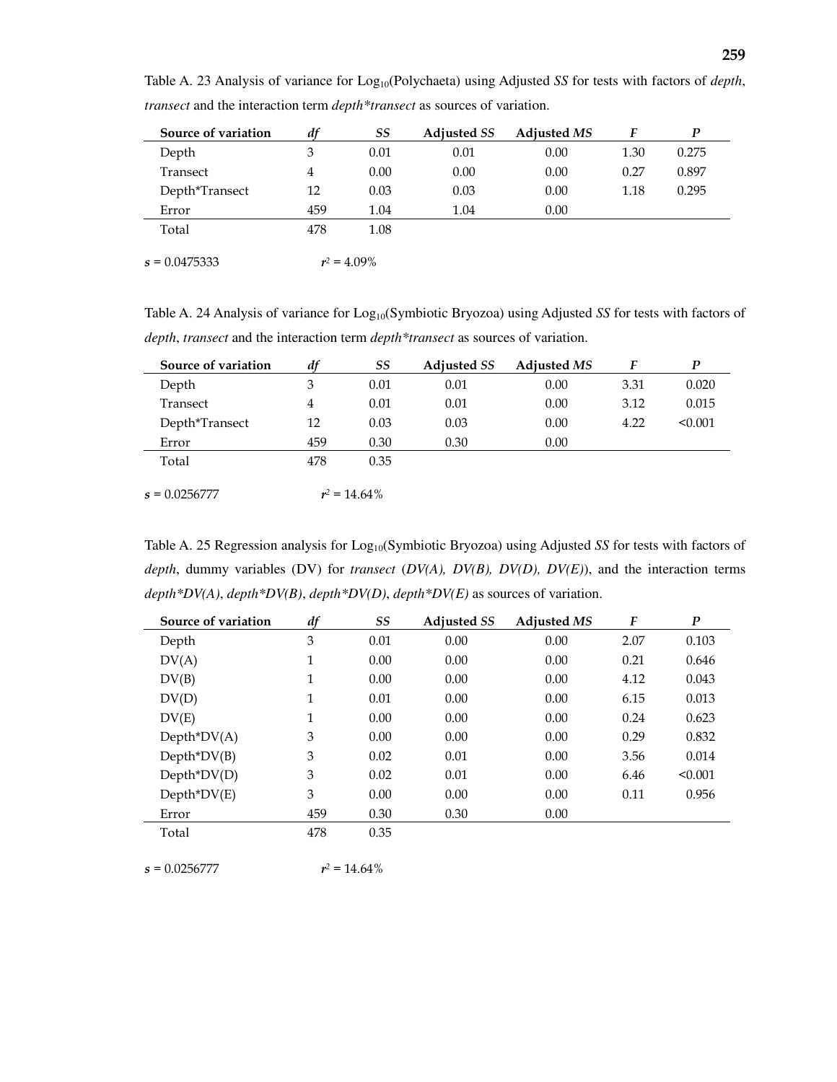| Source of variation | df             | SS             | <b>Adjusted SS</b> | <b>Adjusted MS</b> | F    | P     |
|---------------------|----------------|----------------|--------------------|--------------------|------|-------|
| Depth               | 3              | 0.01           | 0.01               | 0.00               | 1.30 | 0.275 |
| Transect            | $\overline{4}$ | 0.00           | 0.00               | 0.00               | 0.27 | 0.897 |
| Depth*Transect      | 12             | 0.03           | 0.03               | 0.00               | 1.18 | 0.295 |
| Error               | 459            | 1.04           | 1.04               | 0.00               |      |       |
| Total               | 478            | 1.08           |                    |                    |      |       |
| $s = 0.0475333$     |                | $r^2 = 4.09\%$ |                    |                    |      |       |

Table A. 23 Analysis of variance for Log<sub>10</sub>(Polychaeta) using Adjusted *SS* for tests with factors of *depth*, *transect* and the interaction term *depth\*transect* as sources of variation.

Table A. 24 Analysis of variance for Log<sub>10</sub>(Symbiotic Bryozoa) using Adjusted *SS* for tests with factors of *depth*, *transect* and the interaction term *depth\*transect* as sources of variation.

| Source of variation | df  | SS              | <b>Adjusted SS</b> | <b>Adjusted MS</b> | F    | P       |
|---------------------|-----|-----------------|--------------------|--------------------|------|---------|
| Depth               | 3   | 0.01            | 0.01               | 0.00               | 3.31 | 0.020   |
| Transect            | 4   | 0.01            | 0.01               | 0.00               | 3.12 | 0.015   |
| Depth*Transect      | 12  | 0.03            | 0.03               | 0.00               | 4.22 | < 0.001 |
| Error               | 459 | 0.30            | 0.30               | 0.00               |      |         |
| Total               | 478 | 0.35            |                    |                    |      |         |
| $s = 0.0256777$     |     | $r^2 = 14.64\%$ |                    |                    |      |         |

Table A. 25 Regression analysis for Log<sub>10</sub>(Symbiotic Bryozoa) using Adjusted *SS* for tests with factors of *depth*, dummy variables (DV) for *transect* (*DV(A), DV(B), DV(D), DV(E)*), and the interaction terms *depth\*DV(A)*, *depth\*DV(B)*, *depth\*DV(D)*, *depth\*DV(E)* as sources of variation.

| Source of variation | df  | SS   | <b>Adjusted SS</b> | <b>Adjusted MS</b> | F    | $\boldsymbol{P}$ |
|---------------------|-----|------|--------------------|--------------------|------|------------------|
| Depth               | 3   | 0.01 | 0.00               | 0.00               | 2.07 | 0.103            |
| DV(A)               | 1   | 0.00 | 0.00               | 0.00               | 0.21 | 0.646            |
| DV(B)               | 1   | 0.00 | 0.00               | 0.00               | 4.12 | 0.043            |
| DV(D)               | 1   | 0.01 | 0.00               | 0.00               | 6.15 | 0.013            |
| DV(E)               | 1   | 0.00 | 0.00               | 0.00               | 0.24 | 0.623            |
| $Depth^*DV(A)$      | 3   | 0.00 | 0.00               | 0.00               | 0.29 | 0.832            |
| $Depth^*DV(B)$      | 3   | 0.02 | 0.01               | 0.00               | 3.56 | 0.014            |
| $Depth^*DV(D)$      | 3   | 0.02 | 0.01               | 0.00               | 6.46 | < 0.001          |
| $Depth^*DV(E)$      | 3   | 0.00 | 0.00               | 0.00               | 0.11 | 0.956            |
| Error               | 459 | 0.30 | 0.30               | 0.00               |      |                  |
| Total               | 478 | 0.35 |                    |                    |      |                  |

 $s = 0.0256777$  $r^2 = 14.64\%$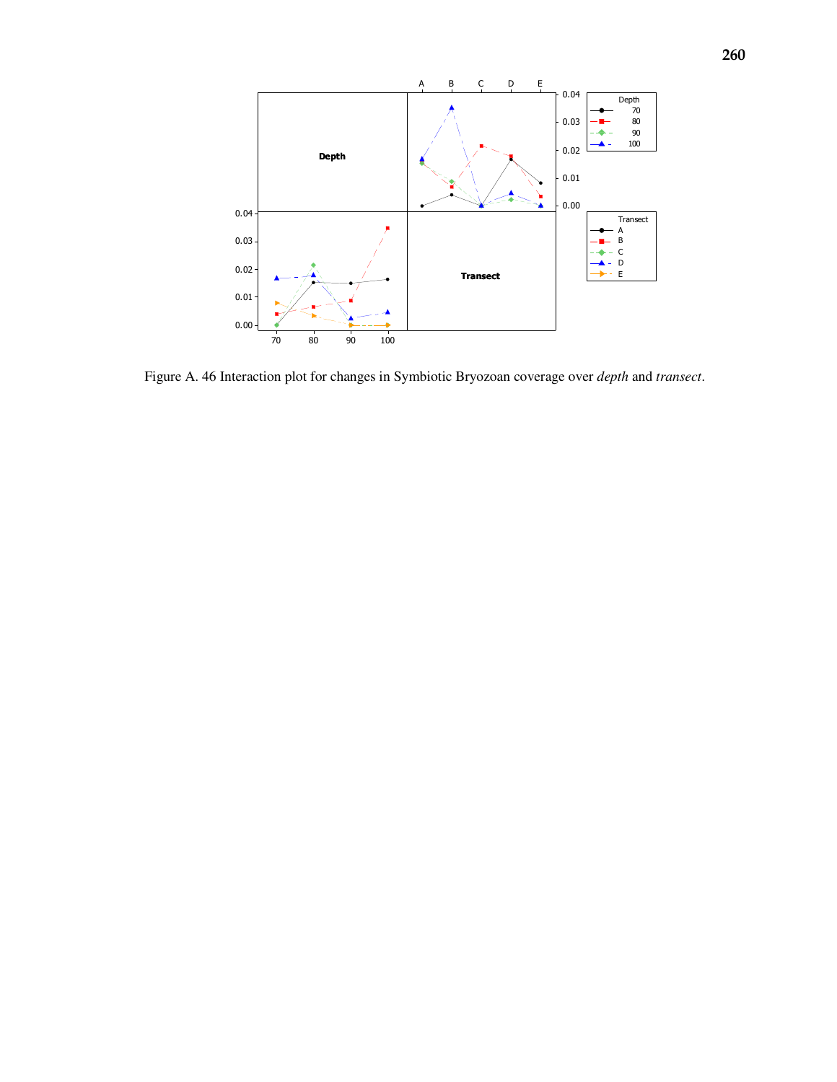

Figure A. 46 Interaction plot for changes in Symbiotic Bryozoan coverage over *depth* and *transect*.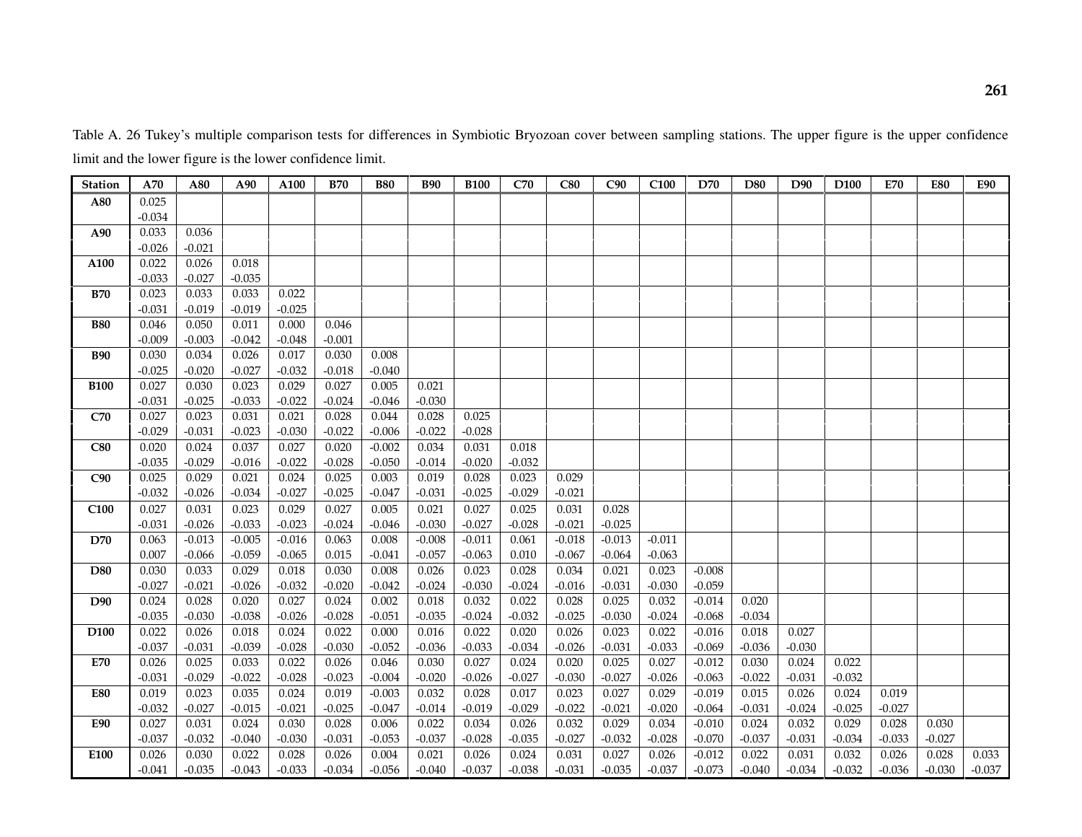Table A. 26 Tukey's multiple comparison tests for differences in Symbiotic Bryozoan cover between sampling stations. The upper figure is the upper confidence limit and the lower figure is the lower confidence limit.

| <b>Station</b>   | A70      | A80      | A90      | A100     | <b>B70</b> | <b>B80</b> | <b>B90</b> | <b>B100</b> | C70      | C80      | C90      | C <sub>100</sub> | D70      | D80      | D90      | D <sub>100</sub> | E70      | <b>E80</b> | E90      |
|------------------|----------|----------|----------|----------|------------|------------|------------|-------------|----------|----------|----------|------------------|----------|----------|----------|------------------|----------|------------|----------|
| A80              | 0.025    |          |          |          |            |            |            |             |          |          |          |                  |          |          |          |                  |          |            |          |
|                  | $-0.034$ |          |          |          |            |            |            |             |          |          |          |                  |          |          |          |                  |          |            |          |
| A90              | 0.033    | 0.036    |          |          |            |            |            |             |          |          |          |                  |          |          |          |                  |          |            |          |
|                  | $-0.026$ | $-0.021$ |          |          |            |            |            |             |          |          |          |                  |          |          |          |                  |          |            |          |
| A100             | 0.022    | 0.026    | 0.018    |          |            |            |            |             |          |          |          |                  |          |          |          |                  |          |            |          |
|                  | $-0.033$ | $-0.027$ | $-0.035$ |          |            |            |            |             |          |          |          |                  |          |          |          |                  |          |            |          |
| <b>B70</b>       | 0.023    | 0.033    | 0.033    | 0.022    |            |            |            |             |          |          |          |                  |          |          |          |                  |          |            |          |
|                  | $-0.031$ | $-0.019$ | $-0.019$ | $-0.025$ |            |            |            |             |          |          |          |                  |          |          |          |                  |          |            |          |
| <b>B80</b>       | 0.046    | 0.050    | 0.011    | 0.000    | 0.046      |            |            |             |          |          |          |                  |          |          |          |                  |          |            |          |
|                  | $-0.009$ | $-0.003$ | $-0.042$ | $-0.048$ | $-0.001$   |            |            |             |          |          |          |                  |          |          |          |                  |          |            |          |
| <b>B90</b>       | 0.030    | 0.034    | 0.026    | 0.017    | 0.030      | 0.008      |            |             |          |          |          |                  |          |          |          |                  |          |            |          |
|                  | $-0.025$ | $-0.020$ | $-0.027$ | $-0.032$ | $-0.018$   | $-0.040$   |            |             |          |          |          |                  |          |          |          |                  |          |            |          |
| <b>B100</b>      | 0.027    | 0.030    | 0.023    | 0.029    | 0.027      | 0.005      | 0.021      |             |          |          |          |                  |          |          |          |                  |          |            |          |
|                  | $-0.031$ | $-0.025$ | $-0.033$ | $-0.022$ | $-0.024$   | $-0.046$   | $-0.030$   |             |          |          |          |                  |          |          |          |                  |          |            |          |
| C70              | 0.027    | 0.023    | 0.031    | 0.021    | 0.028      | 0.044      | 0.028      | 0.025       |          |          |          |                  |          |          |          |                  |          |            |          |
|                  | $-0.029$ | $-0.031$ | $-0.023$ | $-0.030$ | $-0.022$   | $-0.006$   | $-0.022$   | $-0.028$    |          |          |          |                  |          |          |          |                  |          |            |          |
| C80              | 0.020    | 0.024    | 0.037    | 0.027    | 0.020      | $-0.002$   | 0.034      | 0.031       | 0.018    |          |          |                  |          |          |          |                  |          |            |          |
|                  | $-0.035$ | $-0.029$ | $-0.016$ | $-0.022$ | $-0.028$   | $-0.050$   | $-0.014$   | $-0.020$    | $-0.032$ |          |          |                  |          |          |          |                  |          |            |          |
| C90              | 0.025    | 0.029    | 0.021    | 0.024    | 0.025      | 0.003      | 0.019      | 0.028       | 0.023    | 0.029    |          |                  |          |          |          |                  |          |            |          |
|                  | $-0.032$ | $-0.026$ | $-0.034$ | $-0.027$ | $-0.025$   | $-0.047$   | $-0.031$   | $-0.025$    | $-0.029$ | $-0.021$ |          |                  |          |          |          |                  |          |            |          |
| C <sub>100</sub> | 0.027    | 0.031    | 0.023    | 0.029    | 0.027      | 0.005      | 0.021      | 0.027       | 0.025    | 0.031    | 0.028    |                  |          |          |          |                  |          |            |          |
|                  | $-0.031$ | $-0.026$ | $-0.033$ | $-0.023$ | $-0.024$   | $-0.046$   | $-0.030$   | $-0.027$    | $-0.028$ | $-0.021$ | $-0.025$ |                  |          |          |          |                  |          |            |          |
| D70              | 0.063    | $-0.013$ | $-0.005$ | $-0.016$ | 0.063      | 0.008      | $-0.008$   | $-0.011$    | 0.061    | $-0.018$ | $-0.013$ | $-0.011$         |          |          |          |                  |          |            |          |
|                  | 0.007    | $-0.066$ | $-0.059$ | $-0.065$ | 0.015      | $-0.041$   | $-0.057$   | $-0.063$    | 0.010    | $-0.067$ | $-0.064$ | $-0.063$         |          |          |          |                  |          |            |          |
| D80              | 0.030    | 0.033    | 0.029    | 0.018    | 0.030      | 0.008      | 0.026      | 0.023       | 0.028    | 0.034    | 0.021    | 0.023            | $-0.008$ |          |          |                  |          |            |          |
|                  | $-0.027$ | $-0.021$ | $-0.026$ | $-0.032$ | $-0.020$   | $-0.042$   | $-0.024$   | $-0.030$    | $-0.024$ | $-0.016$ | $-0.031$ | $-0.030$         | $-0.059$ |          |          |                  |          |            |          |
| D90              | 0.024    | 0.028    | 0.020    | 0.027    | 0.024      | 0.002      | 0.018      | 0.032       | 0.022    | 0.028    | 0.025    | 0.032            | $-0.014$ | 0.020    |          |                  |          |            |          |
|                  | $-0.035$ | $-0.030$ | $-0.038$ | $-0.026$ | $-0.028$   | $-0.051$   | $-0.035$   | $-0.024$    | $-0.032$ | $-0.025$ | $-0.030$ | $-0.024$         | $-0.068$ | $-0.034$ |          |                  |          |            |          |
| D <sub>100</sub> | 0.022    | 0.026    | 0.018    | 0.024    | 0.022      | 0.000      | 0.016      | 0.022       | 0.020    | 0.026    | 0.023    | 0.022            | $-0.016$ | 0.018    | 0.027    |                  |          |            |          |
|                  | $-0.037$ | $-0.031$ | $-0.039$ | $-0.028$ | $-0.030$   | $-0.052$   | $-0.036$   | $-0.033$    | $-0.034$ | $-0.026$ | $-0.031$ | $-0.033$         | $-0.069$ | $-0.036$ | $-0.030$ |                  |          |            |          |
| E70              | 0.026    | 0.025    | 0.033    | 0.022    | 0.026      | 0.046      | 0.030      | 0.027       | 0.024    | 0.020    | 0.025    | 0.027            | $-0.012$ | 0.030    | 0.024    | 0.022            |          |            |          |
|                  | $-0.031$ | $-0.029$ | $-0.022$ | $-0.028$ | $-0.023$   | $-0.004$   | $-0.020$   | $-0.026$    | $-0.027$ | $-0.030$ | $-0.027$ | $-0.026$         | $-0.063$ | $-0.022$ | $-0.031$ | $-0.032$         |          |            |          |
| <b>E80</b>       | 0.019    | 0.023    | 0.035    | 0.024    | 0.019      | $-0.003$   | 0.032      | 0.028       | 0.017    | 0.023    | 0.027    | 0.029            | $-0.019$ | 0.015    | 0.026    | 0.024            | 0.019    |            |          |
|                  | $-0.032$ | $-0.027$ | $-0.015$ | $-0.021$ | $-0.025$   | $-0.047$   | $-0.014$   | $-0.019$    | $-0.029$ | $-0.022$ | $-0.021$ | $-0.020$         | $-0.064$ | $-0.031$ | $-0.024$ | $-0.025$         | $-0.027$ |            |          |
| E90              | 0.027    | 0.031    | 0.024    | 0.030    | 0.028      | 0.006      | 0.022      | 0.034       | 0.026    | 0.032    | 0.029    | 0.034            | $-0.010$ | 0.024    | 0.032    | 0.029            | 0.028    | 0.030      |          |
|                  | $-0.037$ | $-0.032$ | $-0.040$ | $-0.030$ | $-0.031$   | $-0.053$   | $-0.037$   | $-0.028$    | $-0.035$ | $-0.027$ | $-0.032$ | $-0.028$         | $-0.070$ | $-0.037$ | $-0.031$ | $-0.034$         | $-0.033$ | $-0.027$   |          |
| E100             | 0.026    | 0.030    | 0.022    | 0.028    | 0.026      | 0.004      | 0.021      | 0.026       | 0.024    | 0.031    | 0.027    | 0.026            | $-0.012$ | 0.022    | 0.031    | 0.032            | 0.026    | 0.028      | 0.033    |
|                  | $-0.041$ | $-0.035$ | $-0.043$ | $-0.033$ | $-0.034$   | $-0.056$   | $-0.040$   | $-0.037$    | $-0.038$ | $-0.031$ | $-0.035$ | $-0.037$         | $-0.073$ | $-0.040$ | $-0.034$ | $-0.032$         | $-0.036$ | $-0.030$   | $-0.037$ |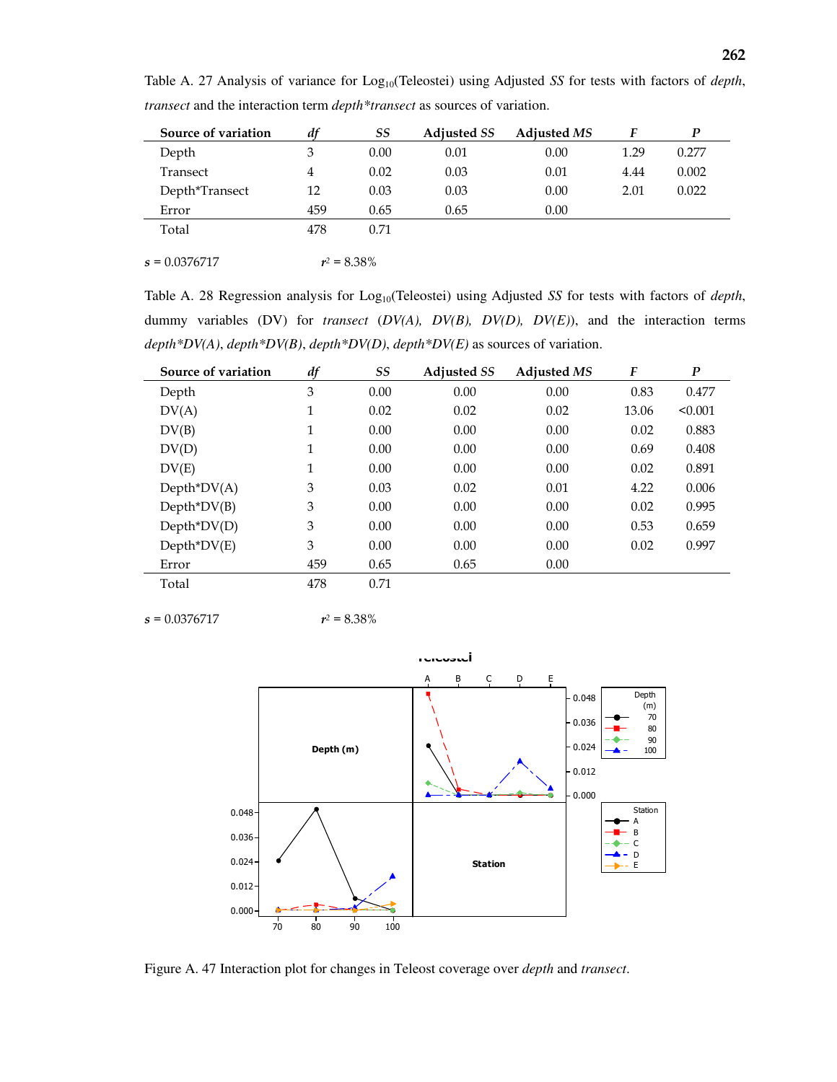| Source of variation | df  | SS             | <b>Adjusted SS</b> | <b>Adjusted MS</b> | F    | P     |
|---------------------|-----|----------------|--------------------|--------------------|------|-------|
| Depth               | 3   | 0.00           | 0.01               | 0.00               | 1.29 | 0.277 |
| Transect            | 4   | 0.02           | 0.03               | 0.01               | 4.44 | 0.002 |
| Depth*Transect      | 12  | 0.03           | 0.03               | 0.00               | 2.01 | 0.022 |
| Error               | 459 | 0.65           | 0.65               | 0.00               |      |       |
| Total               | 478 | 0.71           |                    |                    |      |       |
|                     |     |                |                    |                    |      |       |
| $s = 0.0376717$     |     | $r^2 = 8.38\%$ |                    |                    |      |       |

Table A. 27 Analysis of variance for Log<sub>10</sub>(Teleostei) using Adjusted *SS* for tests with factors of *depth*, *transect* and the interaction term *depth\*transect* as sources of variation.

Table A. 28 Regression analysis for Log<sub>10</sub>(Teleostei) using Adjusted *SS* for tests with factors of *depth*, dummy variables (DV) for *transect* (*DV(A), DV(B), DV(D), DV(E)*), and the interaction terms *depth\*DV(A)*, *depth\*DV(B)*, *depth\*DV(D)*, *depth\*DV(E)* as sources of variation.

| Source of variation | df  | SS   | <b>Adjusted SS</b> | <b>Adjusted MS</b> | F     | $\boldsymbol{P}$ |  |
|---------------------|-----|------|--------------------|--------------------|-------|------------------|--|
| Depth               | 3   | 0.00 | 0.00               | 0.00               | 0.83  | 0.477            |  |
| DV(A)               | 1   | 0.02 | 0.02               | 0.02               | 13.06 | < 0.001          |  |
| DV(B)               | 1   | 0.00 | 0.00               | 0.00               | 0.02  | 0.883            |  |
| DV(D)               | 1   | 0.00 | 0.00               | 0.00               | 0.69  | 0.408            |  |
| DV(E)               | 1   | 0.00 | 0.00               | 0.00               | 0.02  | 0.891            |  |
| $Depth^*DV(A)$      | 3   | 0.03 | 0.02               | 0.01               | 4.22  | 0.006            |  |
| $Depth^*DV(B)$      | 3   | 0.00 | 0.00               | 0.00               | 0.02  | 0.995            |  |
| $Depth^*DV(D)$      | 3   | 0.00 | 0.00               | 0.00               | 0.53  | 0.659            |  |
| $Depth^*DV(E)$      | 3   | 0.00 | 0.00               | 0.00               | 0.02  | 0.997            |  |
| Error               | 459 | 0.65 | 0.65               | 0.00               |       |                  |  |
| Total               | 478 | 0.71 |                    |                    |       |                  |  |

 $s = 0.0376717$  r

$$
r^2 = 8.38\%
$$



Figure A. 47 Interaction plot for changes in Teleost coverage over *depth* and *transect*.